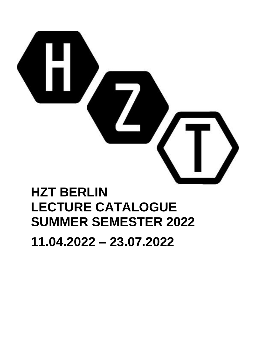

# **HZT BERLIN LECTURE CATALOGUE SUMMER SEMESTER 2022**

**11.04.2022 – 23.07.2022**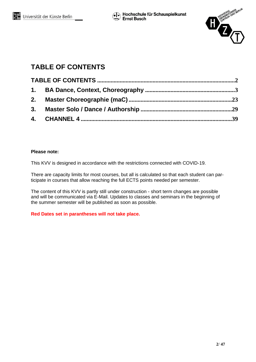

# <span id="page-1-0"></span>**TABLE OF CONTENTS**

## **Please note:**

This KVV is designed in accordance with the restrictions connected with COVID-19.

There are capacity limits for most courses, but all is calculated so that each student can participate in courses that allow reaching the full ECTS points needed per semester.

The content of this KVV is partly still under construction - short term changes are possible and will be communicated via E-Mail. Updates to classes and seminars in the beginning of the summer semester will be published as soon as possible.

**Red Dates set in parantheses will not take place.**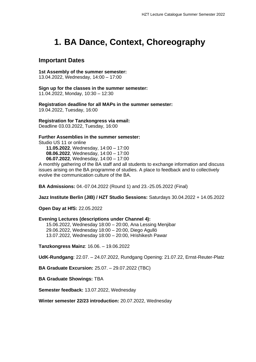# <span id="page-2-0"></span>**1. BA Dance, Context, Choreography**

## **Important Dates**

**1st Assembly of the summer semester:**

13.04.2022, Wednesday, 14:00 – 17:00

**Sign up for the classes in the summer semester:**  11.04.2022, Monday, 10:30 – 12:30

**Registration deadline for all MAPs in the summer semester:**  19.04.2022, Tuesday, 16:00

**Registration for Tanzkongress via email:**

Deadline 03.03.2022, Tuesday, 16:00

**Further Assemblies in the summer semester:** 

Studio US 11 or online

**11.05.2022**, Wednesday, 14:00 – 17:00 **08.06.2022**, Wednesday, 14:00 – 17:00 **06.07.2022**, Wednesday, 14:00 – 17:00

A monthly gathering of the BA staff and all students to exchange information and discuss issues arising on the BA programme of studies. A place to feedback and to collectively evolve the communication culture of the BA.

**BA Admissions:** 04.-07.04.2022 (Round 1) and 23.-25.05.2022 (Final)

**Jazz Institute Berlin (JIB) / HZT Studio Sessions:** Saturdays 30.04.2022 + 14.05.2022

**Open Day at HfS:** 22.05.2022

#### **Evening Lectures (descriptions under Channel 4):**

15.06.2022, Wednesday 18:00 – 20:00, Ana Lessing Menjibar 29.06.2022, Wednesday 18:00 – 20:00, Diego Agulló 13.07.2022, Wednesday 18:00 – 20:00, Hrishikesh Pawar

**Tanzkongress Mainz**: 16.06. – 19.06.2022

**UdK-Rundgang**: 22.07. – 24.07.2022, Rundgang Opening: 21.07.22, Ernst-Reuter-Platz

**BA Graduate Excursion:** 25.07. – 29.07.2022 (TBC)

**BA Graduate Showings:** TBA

**Semester feedback:** 13.07.2022, Wednesday

**Winter semester 22/23 introduction:** 20.07.2022, Wednesday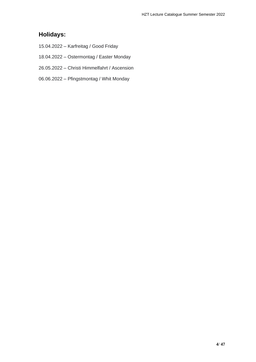# **Holidays:**

- 15.04.2022 Karfreitag / Good Friday
- 18.04.2022 Ostermontag / Easter Monday
- 26.05.2022 Christi Himmelfahrt / Ascension
- 06.06.2022 Pfingstmontag / Whit Monday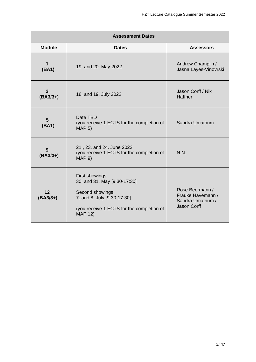| <b>Assessment Dates</b>      |                                                                                                                                                                   |                                                                         |  |  |
|------------------------------|-------------------------------------------------------------------------------------------------------------------------------------------------------------------|-------------------------------------------------------------------------|--|--|
| <b>Module</b>                | <b>Dates</b>                                                                                                                                                      | <b>Assessors</b>                                                        |  |  |
| $\mathbf{1}$<br>(BA1)        | 19. and 20. May 2022                                                                                                                                              | Andrew Champlin /<br>Jasna Layes-Vinovrski                              |  |  |
| $\overline{2}$<br>$(BA3/3+)$ | 18. and 19. July 2022                                                                                                                                             | Jason Corff / Nik<br><b>Haffner</b>                                     |  |  |
| $5\phantom{1}$<br>(BA1)      | Date TBD<br>(you receive 1 ECTS for the completion of<br>MAP 5)                                                                                                   | Sandra Umathum                                                          |  |  |
| 9<br>$(BA3/3+)$              | 21., 23. and 24. June 2022<br>(you receive 1 ECTS for the completion of<br><b>MAP 9)</b>                                                                          | N.N.                                                                    |  |  |
| 12<br>$(BA3/3+)$             | First showings:<br>30. and 31. May [9:30-17:30]<br>Second showings:<br>7. and 8. July [9:30-17:30]<br>(you receive 1 ECTS for the completion of<br><b>MAP 12)</b> | Rose Beermann /<br>Frauke Havemann /<br>Sandra Umathum /<br>Jason Corff |  |  |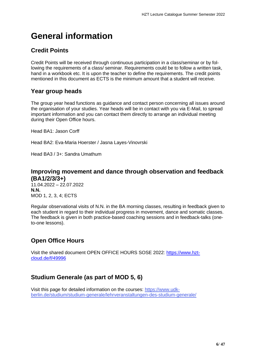# **General information**

# **Credit Points**

Credit Points will be received through continuous participation in a class/seminar or by following the requirements of a class/ seminar. Requirements could be to follow a written task, hand in a workbook etc. It is upon the teacher to define the requirements. The credit points mentioned in this document as ECTS is the minimum amount that a student will receive.

# **Year group heads**

The group year head functions as guidance and contact person concerning all issues around the organisation of your studies. Year heads will be in contact with you via E-Mail, to spread important information and you can contact them directly to arrange an individual meeting during their Open Office hours.

Head BA1: Jason Corff

Head BA2: Eva-Maria Hoerster / Jasna Layes-Vinovrski

Head BA3 / 3+: Sandra Umathum

# **Improving movement and dance through observation and feedback (BA1/2/3/3+)**

 $11.04.2022 - 22.07.2022$ **N.N.** MOD 1, 2, 3, 4; ECTS

Regular observational visits of N.N. in the BA morning classes, resulting in feedback given to each student in regard to their individual progress in movement, dance and somatic classes. The feedback is given in both practice-based coaching sessions and in feedback-talks (oneto-one lessons).

# **Open Office Hours**

Visit the shared document OPEN OFFICE HOURS SOSE 2022: [https://www.hzt](https://www.hzt-cloud.de/f/49996)[cloud.de/f/49996](https://www.hzt-cloud.de/f/49996)

# **Studium Generale (as part of MOD 5, 6)**

Visit this page for detailed information on the courses: [https://www.udk](https://www.udk-berlin.de/studium/studium-generale/lehrveranstaltungen-des-studium-generale/)[berlin.de/studium/studium-generale/lehrveranstaltungen-des-studium-generale/](https://www.udk-berlin.de/studium/studium-generale/lehrveranstaltungen-des-studium-generale/)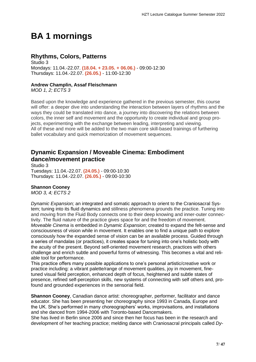# **BA 1 mornings**

# **Rhythms, Colors, Patterns**

Studio 3 Mondays: 11.04.-22.07. **(18.04. + 23.05. + 06.06.)** - 09:00-12:30 Thursdays: 11.04.-22.07. **(26.05.)** - 11:00-12:30

## **Andrew Champlin, Assaf Fleischmann**

*MOD 1, 2; ECTS 3*

Based upon the knowledge and experience gathered in the previous semester, this course will offer: a deeper dive into understanding the interaction between layers of rhythms and the ways they could be translated into dance, a journey into discovering the relations between colors, the inner self and movement and the opportunity to create individual and group projects, experimenting with the exchange between leading, interpreting and viewing. All of these and more will be added to the two main core skill-based trainings of furthering ballet vocabulary and quick memorization of movement sequences.

# **Dynamic Expansion / Moveable Cinema: Embodiment dance/movement practice**

Studio 3 Tuesdays: 11.04.-22.07. **(24.05.)** - 09:00-10:30 Thursdays: 11.04.-22.07. **(26.05.)** - 09:00-10:30

### **Shannon Cooney**

*MOD 3, 4; ECTS 2*

*Dynamic Expansion;* an integrated and somatic approach to orient to the Craniosacral System; tuning into its fluid dynamics and stillness phenomena grounds the practice. Tuning into and moving from the Fluid Body connects one to their deep knowing and inner-outer connectivity. The fluid nature of the practice gives space for and the freedom of movement. *Moveable Cinema* is embedded in *Dynamic Expansion*; created to expand the felt-sense and consciousness of vision while in movement. It enables one to find a unique path to explore consciously how the expanded sense of vision can be an available process. Guided through a series of mandalas (or practices), it creates space for tuning into one's holistic body with the acuity of the present. Beyond self-oriented movement research, practices with others challenge and enrich subtle and powerful forms of witnessing. This becomes a vital and reliable tool for performance.

This practice offers many possible applications to one's personal artistic/creative work or practice including: a vibrant palette/range of movement qualities, joy in movement, finetuned visual field perception, enhanced depth of focus, heightened and subtle states of presence, refined self-perception skills, new systems of connecting with self others and, profound and grounded experiences in the sensorial field.

**Shannon Cooney, Canadian dance artist: choreographer, performer, facilitator and dance** educator. She has been presenting her choreography since 1993 in Canada, Europe and the UK. She's performed in many choreographers' works, improvisations, and installations and she danced from 1994-2006 with Toronto-based Dancemakers.

She has lived in Berlin since 2006 and since then her focus has been in the research and development of her teaching practice; melding dance with Craniosacral principals called *Dy-*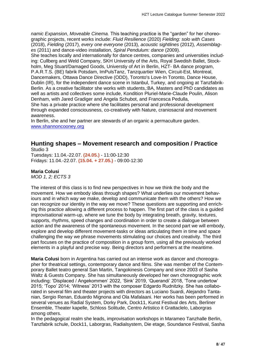*namic Expansion*, *Moveable Cinema.* This teaching practice is the "garden" for her choreographic projects, recent works include: *Fluid Resilience* (2020) *Fielding: solo with Cases* (2018), *Fielding* (2017), *every one everyone* (2013), *acoustic sightlines* (2012), *Assemblages* (2011) and dance-video installation, *Spiral Pendulum: dance* (2009).

She teaches locally and internationally for dance centres, companies and universities including: Cullberg and Weld Company, SKH University of the Arts, Royal Swedish Ballet, Stockholm, Meg Stuart/Damaged Goods, Universtiy of Art in Berlin, HZT- BA dance program, P.A.R.T.S. (BE) fabrik Potsdam, ImPulsTanz, Tanzquartier Wien, Circuit-Est, Montreal, Dancemakers, Ottawa Dance Directive (ODD), Toronto's Love-In Toronto, Dance House, Dublin (IR), for the independent dance scene in Istanbul, Turkey, and ongoing at Tanzfabrik-Berlin. As a creative facilitator she works with students,:BA, Masters and PhD candidates as well as artists and collectives some include, Kondition Pluriel-Marie-Claude Poulin, Alison Denham, with Jared Gradiger and Angela Schubot, and Francesca Pedulla,

She has a private practice where she facilitates personal and professional development through expanded consciousness, co-creatively with Nature, craniosacral and movement awareness.

In Berlin, she and her partner are stewards of an organic a permaculture garden. [www.shannoncooney.org](http://www.shannoncooney.org/)

#### **Hunting shapes – Movement research and composition / Practice** Studio 3

Tuesdays: 11.04.-22.07. **(24.05.)** - 11:00-12:30 Fridays: 11.04.-22.07. **(15.04. + 27.05.)** - 09:00-12:30

### **Maria Colusi**

*MOD 1, 2; ECTS 3*

The interest of this class is to find new perspectives in how we think the body and the movement. How we embody ideas through shapes? What underlies our movement behaviours and in which way we make, develop and communicate them with the others? How we can recognize our identity in the way we move? These questions are supporting and enriching this practice allowing a different process to happen. The first part of the class is a guided improvisational warm-up, where we tune the body by integrating breath, gravity, textures, supports, rhythms, speed changes and coordination in order to create a dialogue between action and the awareness of the spontaneous movement. In the second part we will embody, explore and develop different movement-tasks or ideas articulating them in time and space challenging the way we phrase movements stimulating our choices and creativity. The third part focuses on the practice of composition in a group form, using all the previously worked elements in a playful and precise way. Being directors and performers at the meantime.

**Maria Colusi** born in Argentina has carried out an intense work as dancer and choreographer for theatrical settings, contemporary dance and films. She was member of the Contemporary Ballet teatro general San Martin, Tangokinesis Company and since 2003 of Sasha Waltz & Guests Company. She has simultaneously developed her own choreographic work including: 'Displaced / Angekommen' 2022, 'Sink' 2019, 'Querandi' 2018, 'Tone undertow' 2015; 'Topo' 2014; 'Witness' 2013 with the composer Edgardo Rudnitzky. She has collaborated in several film and theater projects with directors as Luciano Suardi, Alejandro Tantanian, Sergio Renan, Eduardo Mignona and Ola Mafalaani. Her works has been performed in several venues as Radial System, Dorky Park, Dock11, Kunst Festival des Arts, Berliner Ensemble, Theater kapelle, Schloss Solitude, Centro Artistico it Grattaclelo, Laborgras among others.

In the pedagogical realm she leads, improvisation workshops in Marameo Tanzhalle Berlin, Tanzfabrik schule, Dock11, Laborgras, Radialsystem, Die etage, Soundance Festival, Sasha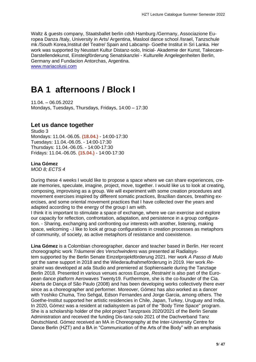Waltz & guests company, Staatsballet berlin cdsh Hamburg /Germany, Associazione Europea Danza /Italy, University in Arts/ Argentina, Maslool dance school /Israel, Tanzschule mk /South Korea,Institut del Teatre/ Spain and Labcamp- Goethe Institut in Sri Lanka. Her work was supported by Neustart Kultur Distanz-solo, Inicial- Akademie der Kunst, Takecare-Darstellendekunst, Einsteigförderung Senatskanzlei - Kulturelle Angelegenheiten Berlin, Germany and Fundacion Antorchas, Argentina.

[www.mariacolusi.com](http://www.mariacolusi.com/)

# **BA 1 afternoons / Block I**

11.04. – 06.05.2022 Mondays, Tuesdays, Thursdays, Fridays, 14:00 – 17:30

## **Let us dance together**

Studio 3 Mondays: 11.04.-06.05. **(18.04.)** - 14:00-17:30 Tuesdays: 11.04.-06.05. - 14:00-17:30 Thursdays: 11.04.-06.05. - 14:00-17:30 Fridays: 11.04.-06.05. **(15.04.)** - 14:00-17:30

#### **Lina Gómez**

*MOD 8; ECTS 4*

During these 4 weeks I would like to propose a space where we can share experiences, create memories, speculate, imagine, project, move, together. I would like us to look at creating, composing, improvising as a group. We will experiment with some creation procedures and movement exercises inspired by different somatic practices, Brazilian dances, breathing exercises, and some oriental movement practices that I have collected over the years and adapted according to the energy of the group I am with.

I think it is important to stimulate a space of exchange, where we can exercise and explore our capacity for reflection, confrontation, adaptation, and persistence in a group configuration. - Sharing, exchanging and confronting our interests with another, listening, making space, welcoming -.I like to look at group configurations in creation processes as metaphors of community, of society, as active metaphors of resistance and coexistence.

**Lina Gómez** is a Colombian choreographer, dancer and teacher based in Berlin. Her recent choreographic work *Träumerei des Verschwindens* was presented at Radialsystem supported by the Berlin Senate Einzelprojektförderung 2021. Her work *A Passo di Mulo* got the same support in 2018 and the Wiederaufnahmeförderung in 2019. Her work *Restraint* was developed at ada Studio and premiered at Sophiensaele during the Tanztage Berlin 2018. Presented in various venues across Europe, *Restraint* is also part of the European dance platform Aerowaves Twenty19. Furthermore, she is the co-founder of the Cia. Aberta de Dança of São Paulo (2008) and has been developing works collectively there ever since as a choreographer and performer. Moreover, Gómez has also worked as a dancer with Yoshiko Chuma, Tino Sehgal, Edson Fernandes and Jorge Garcia, among others. The Goethe-Institut supported her artistic residencies in Chile, Japan, Turkey, Uruguay and India. In 2020, Gómez was a resident at radialsystem as part of the "Body Time Space" program. She is a scholarship holder of the pilot project Tanzpraxis 2020/2021 of the Berlin Senate Administration and received the funding Dis-tanz-solo 2021 of the Dachverband Tanz Deutschland. Gómez received an MA in Choreography at the Inter-University Centre for Dance Berlin (HZT) and a BA in "Communication of the Arts of the Body" with an emphasis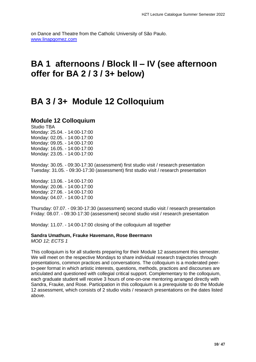on Dance and Theatre from the Catholic University of São Paulo. [www.linapgomez.com](http://www.linapgomez.com/)

# **BA 1 afternoons / Block II – IV (see afternoon offer for BA 2 / 3 / 3+ below)**

# **BA 3 / 3+ Module 12 Colloquium**

# **Module 12 Colloquium**

Studio TBA Monday: 25.04. - 14:00-17:00 Monday: 02.05. - 14:00-17:00 Monday: 09.05. - 14:00-17:00 Monday: 16.05. - 14:00-17:00 Monday: 23.05. - 14:00-17:00

Monday: 30.05. - 09:30-17:30 (assessment) first studio visit / research presentation Tuesday: 31.05. - 09:30-17:30 (assessment) first studio visit / research presentation

Monday: 13.06. - 14:00-17:00 Monday: 20.06. - 14:00-17:00 Monday: 27.06. - 14:00-17:00 Monday: 04.07. - 14:00-17:00

Thursday: 07.07. - 09:30-17:30 (assessment) second studio visit / research presentation Friday: 08.07. - 09:30-17:30 (assessment) second studio visit / research presentation

Monday: 11.07. - 14:00-17:00 closing of the colloquium all together

### **Sandra Umathum, Frauke Havemann, Rose Beermann**

*MOD 12; ECTS 1*

This colloquium is for all students preparing for their Module 12 assessment this semester. We will meet on the respective Mondays to share individual research trajectories through presentations, common practices and conversations. The colloquium is a moderated peerto-peer format in which artistic interests, questions, methods, practices and discourses are articulated and questioned with collegial critical support. Complementary to the colloquium, each graduate student will receive 3 hours of one-on-one mentoring arranged directly with Sandra, Frauke, and Rose. Participation in this colloquium is a prerequisite to do the Module 12 assessment, which consists of 2 studio visits / research presentations on the dates listed above.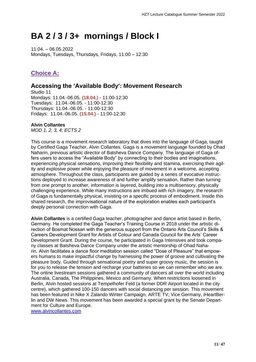# **BA 2 / 3 / 3+ mornings / Block I**

11.04. – 06.05.2022 Mondays, Tuesdays, Thursdays, Fridays, 11:00 – 12:30

# **Choice A:**

## **Accessing the 'Available Body': Movement Research**

Studio 11 Mondays: 11.04.-06.05. **(18.04.)** - 11:00-12:30 Tuesdays: 11.04.-06.05. - 11:00-12:30 Thursdays: 11.04.-06.05. - 11:00-12:30 Fridays: 11.04.-06.05. **(15.04.)** - 11:00-12:30

#### **Alvin Collantes**

*MOD 1, 2, 3, 4; ECTS 2*

This course is a movement research laboratory that dives into the language of Gaga, taught by Certified Gaga Teacher, Alvin Collantes. Gaga is a movement language founded by Ohad Naharin, previous artistic director of Batsheva Dance Company. The language of Gaga offers users to access the "Available Body" by connecting to their bodies and imaginations, experiencing physical sensations, improving their flexibility and stamina, exercising their agility and explosive power while enjoying the pleasure of movement in a welcome, accepting atmosphere. Throughout the class, participants are guided by a series of evocative instructions deployed to increase awareness of and further amplify sensation. Rather than turning from one prompt to another, information is layered, building into a multisensory, physically challenging experience. While many instructions are imbued with rich imagery, the research of Gaga is fundamentally physical, insisting on a specific process of embodiment. Inside this shared research, the improvisational nature of the exploration enables each participant's deeply personal connection with Gaga.

**Alvin Collantes** is a certified Gaga teacher, photographer and dance artist based in Berlin, Germany. He completed the Gaga Teacher's Training Course in 2018 under the artistic direction of Bosmat Nossan with the generous support from the Ontario Arts Council's Skills & Careers Development Grant for Artists of Colour and Canada Council for the Arts' Career Development Grant. During the course, he participated in Gaga Intensives and took company classes at Batsheva Dance Company under the artistic mentorship of Ohad Naharin. Alvin facilitates a dance floor meditation session called "Dose of Pleasure" that empowers humans to make impactful change by harnessing the power of groove and cultivating the pleasure body. Guided through sensational poetry and super groovy music, the session is for you to release the tension and recharge your batteries so we can remember who we are. The online livestream sessions gathered a community of dancers all over the world including Australia, Canada, The Philippines, Mexico and Germany. When restrictions loosened in Berlin, Alvin hosted sessions at Tempelhofer Feld (a former DDR Airport located in the city centre), which gathered 100-150 dancers with social distancing per session. This movement has been featured in Nike X Zalando Winter Campaign, ARTE TV, Vice Germany, iHeartBerlin and DW News. This movement has been awarded a special grant by the Senate Department for Culture and Europe.

[www.alvincollantes.com](http://www.alvincollantes.com/)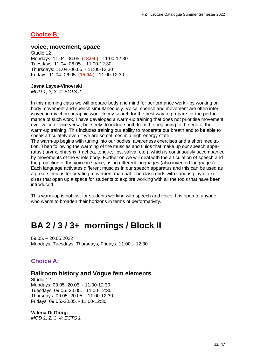# **Choice B:**

#### **voice, movement, space**

Studio 12 Mondays: 11.04.-06.05. **(18.04.)** - 11:00-12:30 Tuesdays: 11.04.-06.05. - 11:00-12:30 Thursdays: 11.04.-06.05. - 11:00-12:30 Fridays: 11.04.-06.05. **(15.04.)** - 11:00-12:30

#### **Jasna Layes-Vinovrski**

*MOD 1, 2, 3, 4; ECTS 2*

In this morning class we will prepare body and mind for performance work - by working on body movement and speech simultaneously. Voice, speech and movement are often interwoven in my choreographic work. In my search for the best way to prepare for the performance of such work, I have developed a warm-up training that does not prioritise movement over voice or vice versa, but seeks to include both from the beginning to the end of the warm-up training. This includes training our ability to moderate our breath and to be able to speak articulately even if we are sometimes in a high-energy state.

The warm-up begins with tuning into our bodies, awareness exercises and a short meditation. Then following the warming of the muscles and fluids that make up our speech apparatus (larynx, pharynx, trachea, tongue, lips, saliva, etc.), which is continuously accompanied by movements of the whole body. Further on we will deal with the articulation of speech and the projection of the voice in space, using different languages (also invented languages). Each language activates different muscles in our speech apparatus and this can be used as a great stimulus for creating movement material. The class ends with various playful exercises that open up a space for students to explore working with all the tools that have been introduced.

This warm-up is not just for students working with speech and voice. It is open to anyone who wants to broaden their horizons in terms of performativity.

# **BA 2 / 3 / 3+ mornings / Block II**

09.05. – 20.05.2022 Mondays, Tuesdays, Thursdays, Fridays, 11:00 – 12:30

# **Choice A:**

## **Ballroom history and Vogue fem elements**

Studio 12 Mondays: 09.05.-20.05. - 11:00-12:30 Tuesdays: 09.05.-20.05. - 11:00-12:30 Thursdays: 09.05.-20.05. - 11:00-12:30 Fridays: 09.05.-20.05. - 11:00-12:30

#### **Valeria Di Giorgi**

*MOD 1, 2, 3, 4; ECTS 1*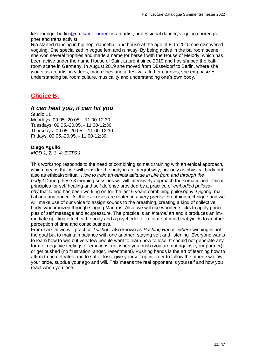kiki lounge berlin @ria\_saint laurent is an artist, professional dancer, voguing choreographer and trans activist.

Ria started dancing in hip hop, dancehall and house at the age of 8. In 2015 she discovered voguing. She specialized in vogue fem and runway. By being active in the ballroom scene, she won several trophies and made a name for herself with the House of Melody, which has been active under the name House of Saint Laurent since 2019 and has shaped the ballroom scene in Germany. In August 2019 she moved from Düsseldorf to Berlin, where she works as an artist in videos, magazines and at festivals. In her courses, she emphasizes understanding ballroom culture, musicality and understanding one's own body.

# **Choice B:**

## *It can heal you, it can hit you*

Studio 11 Mondays: 09.05.-20.05. - 11:00-12:30 Tuesdays: 09.05.-20.05. - 11:00-12:30 Thursdays: 09.05.-20.05. - 11:00-12:30 Fridays: 09.05.-20.05. - 11:00-12:30

#### **Diego Agulló**

*MOD 1, 2, 3, 4; ECTS 1*

This workshop responds to the need of combining somatic training with an ethical approach, which means that we will consider the body in an integral way, not only as physical body but also as ethical/spiritual. *How to train an ethical attitude in Life from and through the body?* During these 8 morning sessions we will intensively approach the somatic and ethical principles for self healing and self defense provided by a practice of *embodied philosophy* that Diego has been working on for the last 6 years combining philosophy, Qigong, martial arts and dance. All the exercises are rooted in a very precise breathing technique and we will make use of our voice to assign sounds to the breathing, creating a kind of collective body synchronized through singing Mantras. Also, we will use wooden sticks to apply principles of self massage and acupressure. The practice is an *internal* art and it produces an immediate uplifting effect in the body and a psychedelic-like state of mind that yields to another perception of time and consciousness.

From Tai Chi we will practice *Tuishou,* also known as *Pushing Hands, where* winning is not the goal but to maintain balance with one another, staying soft and listening*. E*veryone wants to learn how to win but very few people want to learn how to lose. It should not generate any form of negative feelings or emotions: not when you push (you are not against your partner) or get pushed (no frustration, anger, resentment). Pushing hands is the art of learning how to affirm to be defeated and to suffer loss: give yourself up in order to follow the other, swallow your pride, subdue your ego and will. This means the real opponent is yourself and how you react when you lose.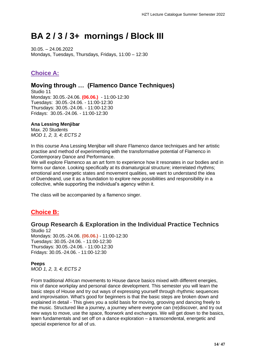# **BA 2 / 3 / 3+ mornings / Block III**

30.05. – 24.06.2022 Mondays, Tuesdays, Thursdays, Fridays, 11:00 – 12:30

# **Choice A:**

# **Moving through … (Flamenco Dance Techniques)**

Studio 11 Mondays: 30.05.-24.06. **(06.06.)** - 11:00-12:30 Tuesdays: 30.05.-24.06. - 11:00-12:30 Thursdays: 30.05.-24.06. - 11:00-12:30 Fridays: 30.05.-24.06. - 11:00-12:30

### **Ana Lessing Menjibar**

Max. 20 Students *MOD 1, 2, 3, 4; ECTS 2*

In this course Ana Lessing Menjibar will share Flamenco dance techniques and her artistic practise and method of experimenting with the transformative potential of Flamenco in Contemporary Dance and Performance.

We will explore Flamenco as an art form to experience how it resonates in our bodies and in forms our dance. Looking specifically at its dramaturgical structure; interrelated rhythms; emotional and energetic states and movement qualities, we want to understand the idea of Duendeand, use it as a foundation to explore new possibilities and responsibility in a collective, while supporting the individual's agency within it.

The class will be accompanied by a flamenco singer.

# **Choice B:**

## **Group Research & Exploration in the Individual Practice Technics**

Studio 12 Mondays: 30.05.-24.06. **(06.06.)** - 11:00-12:30 Tuesdays: 30.05.-24.06. - 11:00-12:30 Thursdays: 30.05.-24.06. - 11:00-12:30 Fridays: 30.05.-24.06. - 11:00-12:30

### **Peeps**

*MOD 1, 2, 3, 4; ECTS 2*

From traditional African movements to House dance basics mixed with different energies, mix of dance workplay and personal dance development. This semester you will learn the basic steps of House and try out ways of expressing yourself through rhythmic sequences and improvisation. What's good for beginners is that the basic steps are broken down and explained in detail - This gives you a solid basis for moving, grooving and dancing freely to the music. Structured like a journey, a journey where everyone can (re)discover, and try out new ways to move, use the space, floorwork and exchanges. We will get down to the basics, learn fundamentals and set off on a dance exploration – a transcendental, energetic and special experience for all of us.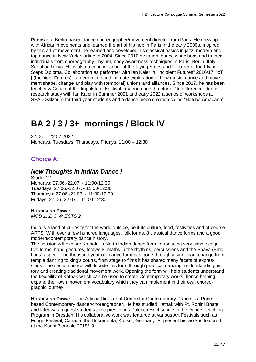**Peeps** is a Berlin-based dance choreographer/movement director from Paris. He grew up with African movements and learned the art of hip hop in Paris in the early 2000s. Inspired by this art of movement, he learned and developed his classical basics in jazz, modern and tap dance in New York starting in 2004. Since 2010 he taught dance workshops and trained individuals from choreography, rhythm, body awareness techniques in Paris, Berlin, Italy, Seoul or Tokyo. He is also a coach/teacher at the Flying Steps and Lecturer of the Flying Steps Diploma. Collaboration as performer with Ian Kaler in "Incipient Futures" 2016/17, "oT | (Incipient Futures)", an energetic and intimate exploration of how music, dance and movement shape, change and play with (temporal) unions and alliances. Since 2017, he has been teacher & Coach at the Impulstanz Festival in Vienna and director of "In difference" dance research study with Ian Kaler in Summer 2021 and early 2022 a series of workshops at SEAD Salzburg for third year students and a dance piece creation called "Hatcha Amapana".

# **BA 2 / 3 / 3+ mornings / Block IV**

27.06. – 22.07.2022 Mondays, Tuesdays, Thursdays, Fridays, 11:00 – 12:30

# **Choice A:**

## *New Thoughts in Indian Dance !*

Studio 12 Mondays: 27.06.-22.07. - 11:00-12:30 Tuesdays: 27.06.-22.07. - 11:00-12:30 Thursdays: 27.06.-22.07. - 11:00-12:30 Fridays: 27.06.-22.07. - 11:00-12:30

#### **Hrishikesh Pawar**

*MOD 1, 2, 3, 4; ECTS 2*

India is a land of curiosity for the world outside, be it its culture, food, festivities and of course ARTS. With over a few hundred languages, folk forms, 8 classical dance forms and a good modern/contemporary dance history.

The session will explore Kathak - a North Indian dance form, introducing very simple cognitive forms, hand gestures, footwork, maths in the rhythms, percussions and the Bhava (Emotions) aspect. The thousand year old dance form has gone through a significant change from temple dancing to king's courts, from stage to films it has shared many facets of expressions. The section hence will decode this form through practical dancing, understanding history and creating traditional movement work. Opening the form will help students understand the flexibility of Kathak which can be used to create Contemporary works, hence helping expand their own movement vocabulary which they can implement in their own choreographic journey.

**Hrishikesh Pawar** – The Artistic Director of Centre for Contemporary Dance is a Pune based Contemporary dancer/choreographer. He has studied Kathak with Pt. Rohini Bhate and later was a guest student at the prestigious Palucca Hochschule in the Dance Teaching Program in Dresden. His collaborative work was featured at various Art Festivals such as Fringe Festival, Canada, the Dokumenta, Kassel, Germany. At present his work is featured at the Kochi Biennale 2018/19.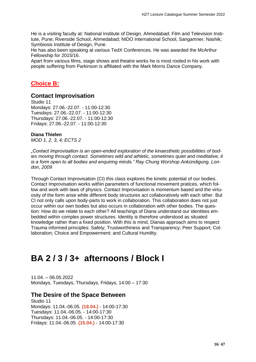He is a visiting faculty at: National Institute of Design, Ahmedabad; Film and Television Institute, Pune; Riverside School, Ahmedabad; NIDO International School, Sangamner, Nashik; Symbiosis Institute of Design, Pune.

He has also been speaking at various TedX Conferences. He was awarded the McArthur Fellowship for 2015/16.

Apart from various films, stage shows and theatre works he is most rooted in his work with people suffering from Parkinson is affiliated with the Mark Morris Dance Company.

## **Choice B:**

## **Contact Improvisation**

Studio 11 Mondays: 27.06.-22.07. - 11:00-12:30 Tuesdays: 27.06.-22.07. - 11:00-12:30 Thursdays: 27.06.-22.07. - 11:00-12:30 Fridays: 27.06.-22.07. - 11:00-12:30

#### **Diana Thielen**

*MOD 1, 2, 3, 4; ECTS 2*

*"Contact Improvisation is an open-ended exploration of the kinaesthetic possibilities of bodies moving through contact. Sometimes wild and athletic, sometimes quiet and meditative, it is a form open to all bodies and enquiring minds." Ray Chung Worshop Ankündigung, London, 2009*

Through Contact Improvisation (CI) this class explores the kinetic potential of our bodies. Contact Improvisation works within parameters of functional movement pratices, which follow and work with laws of physics. Contact Improvisation is momentum based and the virtuosity of the form arise while different body structures act collaboratively with each other. But CI not only calls upon body-parts to work in collaboration. This collaboration does not just occur within our own bodies but also occurs in collaboration with other bodies. The question: How do we relate to each other? All teachings of Diana understand our identities embedded within complex power structures. Identity is therefore understood as situated knowledge rather than a fixed position. With this is mind, Dianas approach aims to respect Trauma informed principles: Safety; Trustworthiness and Transparency; Peer Support; Collaboration; Choice and Empowerment; and Cultural Humility.

# **BA 2 / 3 / 3+ afternoons / Block I**

11.04. – 06.05.2022 Mondays, Tuesdays, Thursdays, Fridays, 14:00 – 17:30

### **The Desire of the Space Between**

Studio 11 Mondays: 11.04.-06.05. **(18.04.)** - 14:00-17:30 Tuesdays: 11.04.-06.05. - 14:00-17:30 Thursdays: 11.04.-06.05. - 14:00-17:30 Fridays: 11.04.-06.05. **(15.04.)** - 14:00-17:30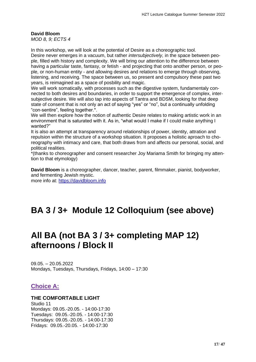# **David Bloom**

*MOD 8, 9; ECTS 4*

In this workshop, we will look at the potential of Desire as a choreographic tool. Desire never emerges in a vacuum, but rather *intersubjectively,* in the space between people, filled with history and complexity. We will bring our attention to the difference between having a particular taste, fantasy, or fetish - and projecting that onto another person, or people, or non-human entity - and allowing desires and relations to emerge through observing, listening, and receiving. The space between us, so present and compulsory these past two years, is reimagined as a space of posbility and magic.

We will work somatically, with processes such as the digestive system, fundamentaly connected to both desires and boundaries, in order to support the emergence of complex, intersubjective desire. We will also tap into aspects of Tantra and BDSM, looking for that deep state of consent that is not only an act of saying "yes" or "no", but a continually unfolding "con-sentire", feeling together.\*.

We will then explore how the notion of authentic Desire relates to making artistic work in an environment that is saturated with it. As in, "what would I make if I could make anything I wanted?"

It is also an attempt at transparency around relationships of power, identity, attration and repulsion within the structure of a workshop situation. It proposes a holistic aproach to choreography with intimacy and care, that both draws from and affects our personal, social, and political realities.

\*(thanks to choreographer and consent researcher Joy Mariama Smith for bringing my attention to that etymology)

**David Bloom** is a choreographer, dancer, teacher, parent, filmmaker, pianist, bodyworker, and fermenting Jewish mystic. more info at: [https://davidbloom.info](https://davidbloom.info/)

# **BA 3 / 3+ Module 12 Colloquium (see above)**

# **All BA (not BA 3 / 3+ completing MAP 12) afternoons / Block II**

09.05. – 20.05.2022 Mondays, Tuesdays, Thursdays, Fridays, 14:00 – 17:30

# **Choice A:**

### **THE COMFORTABLE LIGHT**

Studio 11 Mondays: 09.05.-20.05. - 14:00-17:30 Tuesdays: 09.05.-20.05. - 14:00-17:30 Thursdays: 09.05.-20.05. - 14:00-17:30 Fridays: 09.05.-20.05. - 14:00-17:30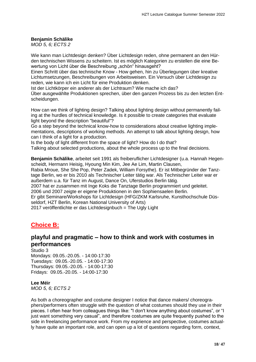#### **Benjamin Schälike**

*MOD 5, 6; ECTS 2*

Wie kann man Lichtdesign denken? Über Lichtdesign reden, ohne permanent an den Hürden technischen Wissens zu scheitern. Ist es möglich Kategorien zu erstellen die eine Bewertung von Licht über die Beschreibung "schön" hinausgeht?

Einen Schritt über das technische Know - How gehen, hin zu Überlegungen über kreative Lichtumsetzungen, Beschreibungen von Arbeitsweisen. Ein Versuch über Lichtdesign zu reden, wie kann ich ein Licht für eine Produktion denken.

Ist der Lichtkörper ein anderer als der Lichtraum? Wie mache ich das?

Über ausgewählte Produktionen sprechen, über den ganzen Prozess bis zu den letzten Entscheidungen.

How can we think of lighting design? Talking about lighting design without permanently failing at the hurdles of technical knowledge. Is it possible to create categories that evaluate light beyond the description "beautiful"?

Go a step beyond the technical know-how to considerations about creative lighting implementations, descriptions of working methods. An attempt to talk about lighting design, how can I think of a light for a production.

Is the body of light different from the space of light? How do I do that?

Talking about selected productions, about the whole process up to the final decisions.

**Benjamin Schälike**, arbeitet seit 1991 als freiberuflicher Lichtdesigner (u.a. Hannah Hegenscheidt, Hermann Heisig, Hyoung Min Kim, Jee Ae Lim, Martin Clausen,

Rabia Mroue, She She Pop, Peter Zadek, William Forsythe). Er ist Mitbegründer der Tanztage Berlin, wo er bis 2010 als Technischer Leiter tätig war. Als Technischer Leiter war er außerdem u.a. für Tanz im August, Dance On, Uferstudios Berlin tätig.

2007 hat er zusammen mit Inge Koks die Tanztage Berlin programmiert und geleitet. 2006 und 2007 zeigte er eigene Produktionen in den Sophiensaelen Berlin.

Er gibt Seminare/Workshops für Lichtdesign (HFG/ZKM Karlsruhe, Kunsthochschule Düsseldorf, HZT Berlin, Korean National University of Arts)

2017 veröffentlichte er das Lichtdesignbuch = The Ugly Light

# **Choice B:**

## **playful and pragmatic – how to think and work with costumes in performances**

#### Studio 3

Mondays: 09.05.-20.05. - 14:00-17:30 Tuesdays: 09.05.-20.05. - 14:00-17:30 Thursdays: 09.05.-20.05. - 14:00-17:30 Fridays: 09.05.-20.05. - 14:00-17:30

#### **Lee Méir**

*MOD 5, 6; ECTS 2*

As both a choreographer and costume designer I notice that dance makers/ choreographers/performers often struggle with the question of what costumes should they use in their pieces. I often hear from colleagues things like: "I don't know anything about costumes", or "I just want something very casual", and therefore costumes are quite frequently pushed to the side in freelancing performance work. From my exprience and perspective, costumes actually have quite an important role, and can open up a lot of questions regarding form, context,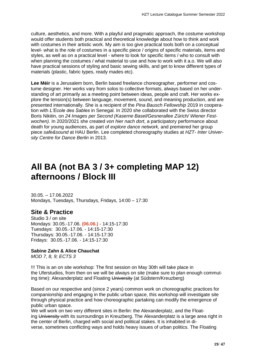culture, aesthetics, and more. With a playful and pragmatic approach, the costume workshop would offer students both practical and theoretical knowledge about how to think and work with costumes in their artistic work. My aim is too give practical tools both on a conceptual level- what is the role of costumes in a specific piece / origins of specific materials, items and styles, as well as on a practical level - where to look for specific items / who to consult with when planning the costumes / what material to use and how to work with it a.o. We will also have practical sessions of styling and basic sewing skills, and get to know different types of materials (plastic, fabric types, ready mades etc).

**Lee Méir** is a Jerusalem born, Berlin based freelance choreographer, performer and costume designer. Her works vary from solos to collective formats, always based on her understanding of art primarily as a meeting point between ideas, people and craft. Her works explore the tension(s) between language, movement, sound, and meaning production, and are presented internationally. She is a recipient of the *Pina Bausch Fellowship* 2019 in cooperation with *L'Ecole des Sables* in Senegal. In 2020 she collaborated with the Swiss director Boris Nikitin, on *24 Images per Second (Kaserne Basel/Gesnerallee Zürich/ Wiener Festwochen).* In 2020/2021 she created *von hier nach dort,* a participatory performance about death for young audiences, as part of *explore dance network,* and premiered her group piece *safe&sound* at HAU Berlin. Lee completed choreography studies at *HZT- Inter University Centre for Dance Berlin* in 2013.

# **All BA (not BA 3 / 3+ completing MAP 12) afternoons / Block III**

30.05. – 17.06.2022 Mondays, Tuesdays, Thursdays, Fridays, 14:00 – 17:30

## **Site & Practice**

Studio 3 / on site Mondays: 30.05.-17.06. **(06.06.)** - 14:15-17:30 Tuesdays: 30.05.-17.06. - 14:15-17:30 Thursdays: 30.05.-17.06. - 14:15-17:30 Fridays: 30.05.-17.06. - 14:15-17:30

#### **Sabine Zahn & Alice Chauchat**

*MOD 7, 8, 9; ECTS 3*

!!! This is an on site workshop: The first session on May 30th will take place in the Uferstudios, from then on we will be always on site (make sure to plan enough commuting time): Alexanderplatz and Floating University (at Südstern/Kreuzberg)

Based on our respective and (since 2 years) common work on choreographic practices for companionship and engaging in the public urban space, this workshop will investigate site through physical practice and how choreographic partaking can modify the emergence of public urban space.

We will work on two very different sites in Berlin: the Alexanderplatz, and the Floating University with its surroundings in Kreuzberg. The Alexanderplatz is a large area right in the center of Berlin, charged with social and political stakes. It is inhabited in diverse, sometimes conflicting ways and holds heavy issues of urban politics. The Floating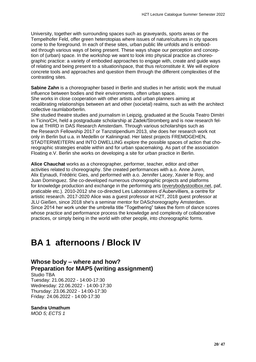University, together with surrounding spaces such as graveyards, sports areas or the Tempelhofer Feld, offer green heterotopias where issues of nature/cultures in city spaces come to the foreground. In each of these sites, urban public life unfolds and is embodied through various ways of being present. These ways shape our perception and conception of (urban) space. In the workshop we want to look into physical practice as choreographic practice: a variety of embodied approaches to engage with, create and guide ways of relating and being present to a situation/space, that thus re/constitute it. We will explore concrete tools and approaches and question them through the different complexities of the contrasting sites.

**Sabine Zahn** is a choreographer based in Berlin and studies in her artistic work the mutual influence between bodies and their environments, often urban space. She works in close cooperation with other artists and urban planners aiming at

recalibrating relationships between art and other (societal) realms, such as with the architect collective raumlaborberlin.

She studied theatre studies and journalism in Leipzig, graduated at the Scuola Teatro Dimitri in Ticino/CH, held a postgraduate scholarship at Zadek/Stromberg and is now research fellow at THIRD in DAS Research Amsterdam. Through various scholarships such as the Research Fellowship 2017 or Tanzstipendium 2013, she does her research work not only in Berlin but u.a. in Medellin or Kaliningrad. Her latest projects FREMDGEHEN, STADTERWEITERN and INTO DWELLING explore the possible spaces of action that choreographic strategies enable within and for urban spacemaking. As part of the association Floating e.V. Berlin she works on developing a site for urban practice in Berlin.

**Alice Chauchat** works as a choreographer, performer, teacher, editor and other activities related to choreography. She created performances with a.o. Anne Juren, Alix Eynaudi, Frédéric Gies, and performed with a.o. Jennifer Lacey, Xavier le Roy, and Juan Dominguez. She co-developed numerous choreographic projects and platforms for knowledge production and exchange in the performing arts [\(everybodystoolbox.net,](http://everybodystoolbox.net/) paf, praticable etc.). 2010-2012 she co-directed Les Laboratoires d'Aubervilliers, a centre for artistic research. 2017-2020 Alice was a guest professor at HZT, 2018 guest professor at JLU Gießen, since 2018 she's a seminar mentor for DASchoreography Amsterdam. Since 2014 her work under the umbrella title "Togethering" takes the form of dance scores whose practice and performance process the knowledge and complexity of collaborative practices, or simply being in the world with other people, into choreographic forms.

# **BA 1 afternoons / Block IV**

**Whose body – where and how? Preparation for MAP5 (writing assignment)**

Studio TBA Tuesday: 21.06.2022 - 14:00-17:30 Wednesday: 22.06.2022 - 14:00-17:30 Thursday: 23.06.2022 - 14:00-17:30 Friday: 24.06.2022 - 14:00-17:30

#### **Sandra Umathum**

*MOD 5; ECTS 1*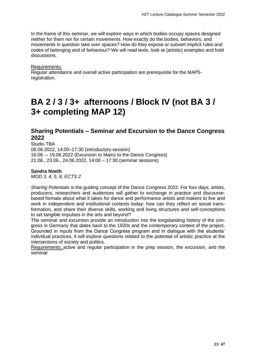In the frame of this seminar, we will explore ways in which bodies occupy spaces designed neither for them nor for certain movements. How exactly do the bodies, behaviors, and movements in question take over spaces? How do they expose or subvert implicit rules and codes of belonging and of behaviour? We will read texts, look at (artistic) examples and hold discussions.

Requirements:

Regular attendance and overall active participation are prerequisite for the MAP5 registration.

# **BA 2 / 3 / 3+ afternoons / Block IV (not BA 3 / 3+ completing MAP 12)**

## **Sharing Potentials – Seminar and Excursion to the Dance Congress 2022**

Studio TBA 08.06.2022, 14:00–17:30 (introductory session) 16.06. – 19.06.2022 (Excursion to Mainz to the Dance Congress) 21.06., 23.06., 24.06.2022, 14:00 – 17:30 (seminar sessions)

#### **Sandra Noeth**

*MOD 3, 4, 5, 6; ECTS 2*

*Sharing Potentials* is the guiding concept of the Dance Congress 2022. For four days, artists, producers, researchers and audiences will gather to exchange in practice and discoursebased formats about what it takes for dance and performance artists and makers to live and work in independent and institutional contexts today: how can they reflect on social transformation, and share their diverse skills, working and living structures and self-conceptions to set tangible impulses in the arts and beyond?

The seminar and excursion provide an introduction into the longstanding history of the congress in Germany that dates back to the 1920s and the contemporary context of the project. Grounded in inputs from the Dance Congress program and in dialogue with the students' individual practices, it will explore questions related to the potential of artistic practice at the intersections of society and politics.

Requirements: active and regular participation in the prep session, the excursion, and the seminar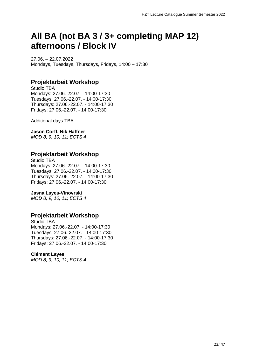# **All BA (not BA 3 / 3+ completing MAP 12) afternoons / Block IV**

27.06. – 22.07.2022 Mondays, Tuesdays, Thursdays, Fridays, 14:00 – 17:30

## **Projektarbeit Workshop**

Studio TBA Mondays: 27.06.-22.07. - 14:00-17:30 Tuesdays: 27.06.-22.07. - 14:00-17:30 Thursdays: 27.06.-22.07. - 14:00-17:30 Fridays: 27.06.-22.07. - 14:00-17:30

Additional days TBA

**Jason Corff, Nik Haffner** *MOD 8, 9, 10, 11; ECTS 4*

## **Projektarbeit Workshop**

Studio TBA Mondays: 27.06.-22.07. - 14:00-17:30 Tuesdays: 27.06.-22.07. - 14:00-17:30 Thursdays: 27.06.-22.07. - 14:00-17:30 Fridays: 27.06.-22.07. - 14:00-17:30

#### **Jasna Layes-Vinovrski**

*MOD 8, 9, 10, 11; ECTS 4*

## **Projektarbeit Workshop**

Studio TBA Mondays: 27.06.-22.07. - 14:00-17:30 Tuesdays: 27.06.-22.07. - 14:00-17:30 Thursdays: 27.06.-22.07. - 14:00-17:30 Fridays: 27.06.-22.07. - 14:00-17:30

#### **Clément Layes**

*MOD 8, 9, 10, 11; ECTS 4*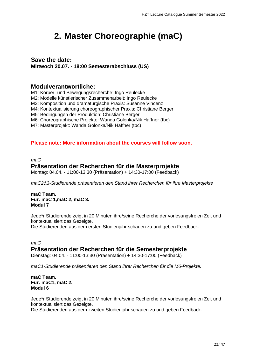# <span id="page-22-0"></span>**2. Master Choreographie (maC)**

## **Save the date:**

**Mittwoch 20.07. - 18:00 Semesterabschluss (US)**

# **Modulverantwortliche:**

M1: Körper- und Bewegungsrecherche: Ingo Reulecke

M2: Modelle künstlerischer Zusammenarbeit: Ingo Reulecke

M3: Komposition und dramaturgische Praxis: Susanne Vincenz

M4: Kontextualisierung choreographischer Praxis: Christiane Berger

M5: Bedingungen der Produktion: Christiane Berger

M6: Choreographische Projekte: Wanda Golonka/Nik Haffner (tbc)

M7: Masterprojekt: Wanda Golonka/Nik Haffner (tbc)

## **Please note: More information about the courses will follow soon.**

*maC*

## **Präsentation der Recherchen für die Masterprojekte**

Montag: 04.04. - 11:00-13:30 (Präsentation) + 14:30-17:00 (Feedback)

*maC2&3-Studierende präsentieren den Stand ihrer Recherchen für ihre Masterprojekte*

**maC Team. Für: maC 1,maC 2, maC 3. Modul 7**

Jede\*r Studierende zeigt in 20 Minuten ihre/seine Recherche der vorlesungsfreien Zeit und kontextualisiert das Gezeigte. Die Studierenden aus dem ersten Studienjahr schauen zu und geben Feedback.

*maC* **Präsentation der Recherchen für die Semesterprojekte** Dienstag: 04.04. - 11:00-13:30 (Präsentation) + 14:30-17:00 (Feedback)

*maC1-Studierende präsentieren den Stand ihrer Recherchen für die M6-Projekte.*

**maC Team. Für: maC1, maC 2. Modul 6**

Jede\*r Studierende zeigt in 20 Minuten ihre/seine Recherche der vorlesungsfreien Zeit und kontextualisiert das Gezeigte.

Die Studierenden aus dem zweiten Studienjahr schauen zu und geben Feedback.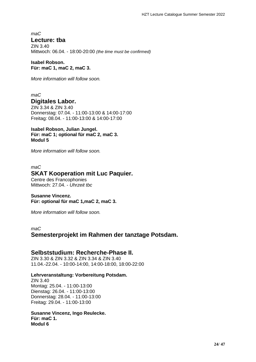*maC* **Lecture: tba**

ZIN 3.40 Mittwoch: 06.04. - 18:00-20:00 *(the time must be confirmed)*

**Isabel Robson. Für: maC 1, maC 2, maC 3.**

*More information will follow soon.*

*maC* **Digitales Labor.**

ZIN 3.34 & ZIN 3.40 Donnerstag: 07.04. - 11:00-13:00 & 14:00-17:00 Freitag: 08.04. - 11:00-13:00 & 14:00-17:00

**Isabel Robson, Julian Jungel. Für: maC 1; optional für maC 2, maC 3. Modul 5**

*More information will follow soon.*

#### *maC* **SKAT Kooperation mit Luc Paquier.** Centre des Francophonies

Mittwoch: 27.04. - *Uhrzeit tbc*

### **Susanne Vincenz. Für: optional für maC 1,maC 2, maC 3.**

*More information will follow soon.*

*maC*

## **Semesterprojekt im Rahmen der tanztage Potsdam.**

## **Selbststudium: Recherche-Phase II.**

ZIN 3.30 & ZIN 3.32 & ZIN 3.34 & ZIN 3.40 11.04.-22.04. - 10:00-14:00, 14:00-18:00, 18:00-22:00

### **Lehrveranstaltung: Vorbereitung Potsdam.**

ZIN 3.40 Montag: 25.04. - 11:00-13:00 Dienstag: 26.04. - 11:00-13:00 Donnerstag: 28.04. - 11:00-13:00 Freitag: 29.04. - 11:00-13:00

#### **Susanne Vincenz, Ingo Reulecke. Für: maC 1. Modul 6**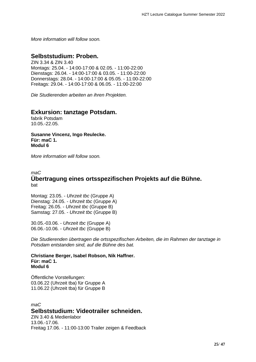*More information will follow soon.*

# **Selbststudium: Proben.**

ZIN 3.34 & ZIN 3.40 Montags: 25.04. - 14:00-17:00 & 02.05. - 11:00-22:00 Dienstags: 26.04. - 14:00-17:00 & 03.05. - 11:00-22:00 Donnerstags: 28.04. - 14:00-17:00 & 05.05. - 11:00-22:00 Freitags: 29.04. - 14:00-17:00 & 06.05. - 11:00-22:00

*Die Studierenden arbeiten an ihren Projekten.*

## **Exkursion: tanztage Potsdam.**

fabrik Potsdam 10.05.-22.05.

**Susanne Vincenz, Ingo Reulecke. Für: maC 1. Modul 6**

*More information will follow soon.*

#### *maC* **Übertragung eines ortsspezifischen Projekts auf die Bühne.** bat

Montag: 23.05. - *Uhrzeit tbc* (Gruppe A) Dienstag: 24.05. - *Uhrzeit tbc* (Gruppe A) Freitag: 26.05. - *Uhrzeit tbc* (Gruppe B) Samstag: 27.05. - *Uhrzeit tbc* (Gruppe B)

30.05.-03.06. - *Uhrzeit tbc* (Gruppe A) 06.06.-10.06. - *Uhrzeit tbc* (Gruppe B)

*Die Studierenden übertragen die ortsspezifischen Arbeiten, die im Rahmen der tanztage in Potsdam entstanden sind, auf die Bühne des bat.*

**Christiane Berger, Isabel Robson, Nik Haffner. Für: maC 1. Modul 6**

Öffentliche Vorstellungen: 03.06.22 (Uhrzeit tba) für Gruppe A 11.06.22 (Uhrzeit tba) für Gruppe B

*maC* **Selbststudium: Videotrailer schneiden.** ZIN 3.40 & Medienlabor

13.06.-17.06. Freitag 17.06. - 11:00-13:00 Trailer zeigen & Feedback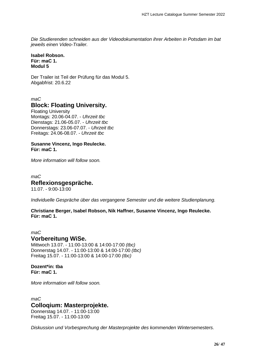*Die Studierenden schneiden aus der Videodokumentation ihrer Arbeiten in Potsdam im bat jeweils einen Video-Trailer.*

**Isabel Robson. Für: maC 1. Modul 5**

Der Trailer ist Teil der Prüfung für das Modul 5. Abgabfrist: 20.6.22

*maC*

# **Block: Floating University.**

Floating University Montags: 20.06-04.07. - *Uhrzeit tbc* Dienstags: 21.06-05.07. - *Uhrzeit tbc* Donnerstags: 23.06-07.07. - *Uhrzeit tbc* Freitags: 24.06-08.07. - *Uhrzeit tbc*

#### **Susanne Vincenz, Ingo Reulecke. Für: maC 1.**

*More information will follow soon.*

*maC* **Reflexionsgespräche.** 11.07. - 9:00-13:00

*Individuelle Gespräche über das vergangene Semester und die weitere Studienplanung.*

**Christiane Berger, Isabel Robson, Nik Haffner, Susanne Vincenz, Ingo Reulecke. Für: maC 1.**

*maC* **Vorbereitung WiSe.** Mittwoch 13.07. - 11:00-13:00 & 14:00-17:00 *(tbc)* Donnerstag 14.07. - 11:00-13:00 & 14:00-17:00 *(tbc)* Freitag 15.07. - 11:00-13:00 & 14:00-17:00 *(tbc)*

#### **Dozent\*in: tba Für: maC 1.**

*More information will follow soon.*

# *maC* **Colloqium: Masterprojekte.**

Donnerstag 14.07. - 11:00-13:00 Freitag 15.07. - 11:00-13:00

*Diskussion und Vorbesprechung der Masterprojekte des kommenden Wintersemesters.*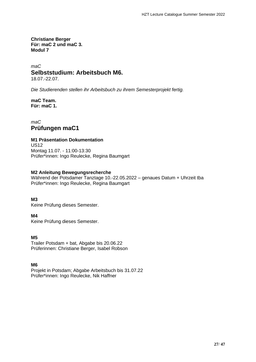**Christiane Berger Für: maC 2 und maC 3. Modul 7**

#### *maC* **Selbststudium: Arbeitsbuch M6.**

18.07.-22.07.

*Die Studierenden stellen ihr Arbeitsbuch zu ihrem Semesterprojekt fertig.*

**maC Team. Für: maC 1.**

*maC* **Prüfungen maC1**

#### **M1 Präsentation Dokumentation**

US12 Montag 11.07. - 11:00-13:30 Prüfer\*innen: Ingo Reulecke, Regina Baumgart

#### **M2 Anleitung Bewegungsrecherche**

Während der Potsdamer Tanztage 10.-22.05.2022 – genaues Datum + Uhrzeit tba Prüfer\*innen: Ingo Reulecke, Regina Baumgart

#### **M3**

Keine Prüfung dieses Semester.

#### **M4**

Keine Prüfung dieses Semester.

#### **M5**

Trailer Potsdam + bat, Abgabe bis 20.06.22 Prüferinnen: Christiane Berger, Isabel Robson

#### **M6**

Projekt in Potsdam; Abgabe Arbeitsbuch bis 31.07.22 Prüfer\*innen: Ingo Reulecke, Nik Haffner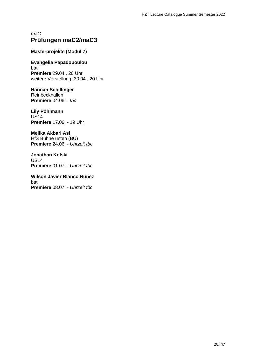## *maC* **Prüfungen maC2/maC3**

#### **Masterprojekte (Modul 7)**

**Evangelia Papadopoulou** bat **Premiere** 29.04., 20 Uhr weitere Vorstellung: 30.04., 20 Uhr

**Hannah Schillinger** Reinbeckhallen **Premiere** 04.06. - *tbc*

**Lily Pöhlmann** US14 **Premiere** 17.06. - 19 Uhr

**Melika Akbari Asl** HfS Bühne unten (BU) **Premiere** 24.06. - *Uhrzeit tbc*

**Jonathan Kolski** US14 **Premiere** 01.07. - *Uhrzeit tbc*

**Wilson Javier Blanco Nuñez** bat **Premiere** 08.07. - *Uhrzeit tbc*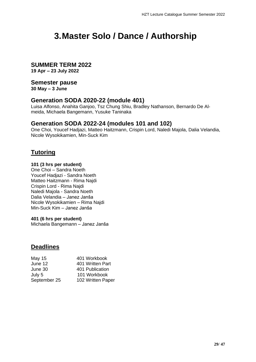# <span id="page-28-0"></span>**3.Master Solo / Dance / Authorship**

## **SUMMER TERM 2022**

**19 Apr – 23 July 2022**

## **Semester pause**

**30 May – 3 June**

## **Generation SODA 2020-22 (module 401)**

Luisa Alfonso, Anahita Ganjoo, Tsz Chung Shiu, Bradley Nathanson, Bernardo De Almeida, Michaela Bangemann, Yusuke Taninaka

## **Generation SODA 2022-24 (modules 101 and 102)**

One Choi, Youcef Hadjazi, Matteo Haitzmann, Crispin Lord, Naledi Majola, Dalia Velandia, Nicole Wysokikamien, Min-Suck Kim

# **Tutoring**

#### **101 (3 hrs per student)**

One Choi – Sandra Noeth Youcef Hadjazi - Sandra Noeth Matteo Haitzmann - Rima Najdi Crispin Lord - Rima Najdi Naledi Majola - Sandra Noeth Dalia Velandia – Janez Janša Nicole Wysokikamien – Rima Najdi Min-Suck Kim – Janez Janša

#### **401 (6 hrs per student)**

Michaela Bangemann – Janez Janša

## **Deadlines**

| May 15       | 401 Workbook      |
|--------------|-------------------|
| June 12      | 401 Written Part  |
| June 30      | 401 Publication   |
| July 5       | 101 Workbook      |
| September 25 | 102 Written Paper |
|              |                   |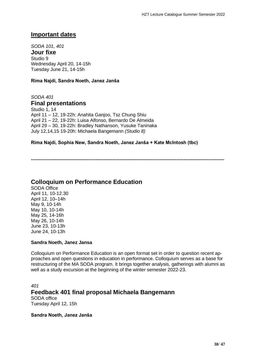## **Important dates**

*SODA 101, 401* **Jour fixe** Studio 9 Wednesday April 20, 14-15h Tuesday June 21, 14-15h

**Rima Najdi, Sandra Noeth, Janez Janša**

*SODA 401*  **Final presentations**

Studio 1, 14 April 11 – 12, 19-22h: Anahita Ganjoo, Tsz Chung Shiu April 21 – 22, 19-22h: Luisa Alfonso, Bernardo De Almeida April 29 – 30, 19-22h: Bradley Nathanson, Yusuke Taninaka July 12,14,15 19-20h: Michaela Bangemann *(Studio 8)*

#### **Rima Najdi, Sophia New, Sandra Noeth, Janez Janša + Kate McIntosh (tbc)**

**---------------------------------------------------------------------------------------------------------------------------**

## **Colloquium on Performance Education**

SODA Office April 11, 10-12.30 April 12, 10–14h May 9, 10-14h May 10, 10-14h May 25, 14-16h May 26, 10-14h June 23, 10-13h June 24, 10-13h

#### **Sandra Noeth, Janez Jansa**

Colloquium on Performance Education is an open format set in order to question recent approaches and open questions in education in performance. Colloquium serves as a base for restructuring of the MA SODA program. It brings together analysis, gatherings with alumni as well as a study excursion at the beginning of the winter semester 2022-23.

```
401
Feedback 401 final proposal Michaela Bangemann
SODA office
Tuesday April 12, 15h
```
**Sandra Noeth, Janez Janša**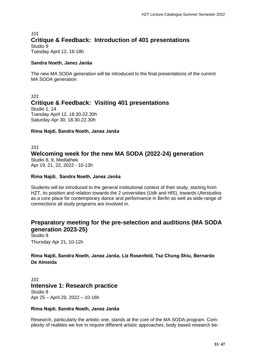## *101* **Critique & Feedback: Introduction of 401 presentations** Studio 9

Tuesday April 12, 16-18h

#### **Sandra Noeth, Janez Janša**

The new MA SODA generation will be introduced to the final presentations of the current MA SODA generation.

# *101* **Critique & Feedback: Visiting 401 presentations** Studio 1, 14

Tuesday April 12, 18.30-22.30h Saturday Apr 30, 18.30-22.30h

#### **Rima Najdi, Sandra Noeth, Janez Janša**

## *101*  **Welcoming week for the new MA SODA (2022-24) generation** Studio 8, 9, Mediathek

Apr 19, 21, 22, 2022 - 10-13h

#### **Rima Najdi, Sandra Noeth, Janez Janša**

Students will be introduced to the general institutional context of their study, starting from HZT, its position and relation towards the 2 universities (Udk and HfS), towards Uferstudios as a core place for contemporary dance and performance in Berlin as well as wide range of connections all study programs are involved in.

# **Preparatory meeting for the pre-selection and auditions (MA SODA generation 2023-25)**

Studio 9 Thursday Apr 21, 10-12h

## **Rima Najdi, Sandra Noeth, Janez Janša, Liz Rosenfeld, Tsz Chung Shiu, Bernardo De Almeida**

*101*  **Intensive 1: Research practice** Studio 8 Apr 25 – April 29, 2022 – 10-16h

### **Rima Najdi, Sandra Noeth, Janez Janša**

Research, particularly the artistic one, stands at the core of the MA SODA program. Complexity of realities we live in require different artistic approaches, body based research be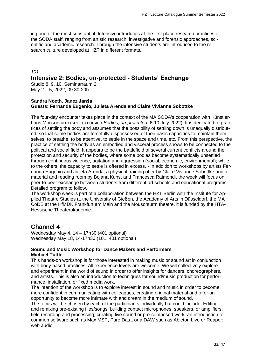ing one of the most substantial. Intensive introduces at the first place research practices of the SODA staff, ranging from artistic research, investigative and forensic approaches, scientific and academic research. Through the intensive students are introduced to the research culture developed at HZT in different formats.

#### *101*

## **Intensive 2: Bodies, un-protected - Students' Exchange**

Studio 8, 9, 10, Seminarraum 2 May 2 – 5, 2022, 09.30-20h

#### **Sandra Noeth, Janez Janša Guests: Fernanda Eugenio, Julieta Arenda and Claire Vivianne Sobottke**

The four-day encounter takes place in the context of the MA SODA's cooperation with Künstlerhaus Mousonturm (see: excursion *Bodies, un-protected*, 6-10 July 2022). It is dedicated to practices of settling the body and assumes that the possibility of settling down is unequally distributed, so that some bodies are forcefully dispossessed of their basic capacities to maintain themselves: to breathe, to be attentive, to settle in the space and time, etc. From this perspective, the practice of settling the body as an embodied and visceral process shows to be connected to the political and social field. It appears to be the battlefield of several current conflicts around the protection and security of the bodies, where some bodies become systematically unsettled through continuous violence, agitation and aggression (social, economic, environmental); while to the others, the capacity to settle is offered in excess. - In addition to workshops by artists Fernanda Eugenio and Julieta Arenda, a physical training offer by Claire Vivianne Sobottke and a material and reading room by Bojana Kunst and Francesca Raimondi, the week will focus on peer-to-peer exchange between students from different art schools and educational programs. Detailed program to follow.

The workshop week is part of a collaboration between the HZT Berlin with the Institute for Applied Theatre Studies at the University of Gießen, the Academy of Arts in Düsseldorf, the MA CoDE at the HfMDK Frankfurt am Main and the Mousonturm theatre, it is funded by the HTA-Hessische Theaterakademie.

### **Channel 4**

Wednesday May 4, 14 – 17h30 (401 optional) Wednesday May 18, 14-17h30 (101, 401 optional)

#### **Sound and Music Workshop for Dance Makers and Performers Michael Tuttle**

This hands-on workshop is for those interested in making music or sound art in conjunction with body based practices. All experience levels are welcome. We will collectively explore and experiment in the world of sound in order to offer insights for dancers, choreographers, and artists. This is also an introduction to techniques for sound/music production for performance, installation, or fixed media work.

The intention of the workshop is to explore interest in sound and music in order to become more confident in communicating with colleagues, creating original material and offer an opportunity to become more intimate with and dream in the medium of sound.

The focus will be chosen by each of the participants individually but could include: Editing and remixing pre-existing files/songs; building contact microphones, speakers, or amplifiers; field recording and processing; creating live sound or pre-composed work; an introduction to common software such as Max MSP, Pure Data, or a DAW such as Ableton Live or Reaper; web audio.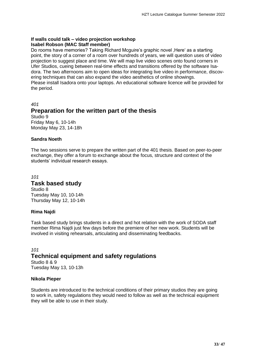#### **If walls could talk – video projection workshop Isabel Robson (MAC Staff member)**

Do rooms have memories? Taking Richard Mcguire's graphic novel .Here' as a starting point, the story of a corner of a room over hundreds of years, we will question uses of video projection to suggest place and time. We will map live video scenes onto found corners in Ufer Studios, cueing between real-time effects and transitions offered by the software Isadora. The two afternoons aim to open ideas for integrating live video in performance, discovering techniques that can also expand the video aesthetics of online showings. Please install Isadora onto your laptops. An educational software licence will be provided for the period.

# *401*  **Preparation for the written part of the thesis**

Studio 9 Friday May 6, 10-14h Monday May 23, 14-18h

## **Sandra Noeth**

The two sessions serve to prepare the written part of the 401 thesis. Based on peer-to-peer exchange, they offer a forum to exchange about the focus, structure and context of the students' individual research essays.

#### *101*  **Task based study** Studio 8

Tuesday May 10, 10-14h Thursday May 12, 10-14h

## **Rima Najdi**

Task based study brings students in a direct and hot relation with the work of SODA staff member Rima Najdi just few days before the premiere of her new work. Students will be involved in visiting rehearsals, articulating and disseminating feedbacks.

### *101*

# **Technical equipment and safety regulations**

Studio 8 & 9 Tuesday May 13, 10-13h

### **Nikola Pieper**

Students are introduced to the technical conditions of their primary studios they are going to work in, safety regulations they would need to follow as well as the technical equipment they will be able to use in their study.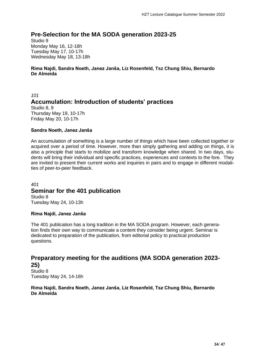# **Pre-Selection for the MA SODA generation 2023-25**

Studio 9 Monday May 16, 12-18h Tuesday May 17, 10-17h Wednesday May 18, 13-18h

#### **Rima Najdi, Sandra Noeth, Janez Janša, Liz Rosenfeld, Tsz Chung Shiu, Bernardo De Almeida**

*101* **Accumulation: Introduction of students' practices**  Studio 8, 9

Thursday May 19, 10-17h Friday May 20, 10-17h

#### **Sandra Noeth, Janez Janša**

An accumulation of something is a large number of things which have been collected together or acquired over a period of time. However, more than simply gathering and adding on things, it is also a principle that starts to mobilize and transform knowledge when shared. In two days, students will bring their individual and specific practices, experiences and contexts to the fore. They are invited to present their current works and inquiries in pairs and to engage in different modalities of peer-to-peer feedback.

#### *401* **Seminar for the 401 publication** Studio 8 Tuesday May 24, 10-13h

#### **Rima Najdi, Janez Janša**

The 401 publication has a long tradition in the MA SODA program. However, each generation finds their own way to communicate a content they consider being urgent. Seminar is dedicated to preparation of the publication, from editorial policy to practical production questions.

# **Preparatory meeting for the auditions (MA SODA generation 2023- 25)**

Studio 8 Tuesday May 24, 14-16h

#### **Rima Najdi, Sandra Noeth, Janez Janša, Liz Rosenfeld, Tsz Chung Shiu, Bernardo De Almeida**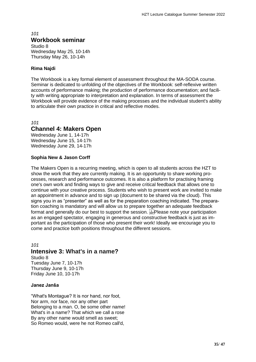## *101* **Workbook seminar**

Studio 8 Wednesday May 25, 10-14h Thursday May 26, 10-14h

## **Rima Najdi**

The Workbook is a key formal element of assessment throughout the MA-SODA course. Seminar is dedicated to unfolding of the objectives of the Workbook: self-reflexive written accounts of performance making; the production of performance documentation; and facility with writing appropriate to interpretation and explanation. In terms of assessment the Workbook will provide evidence of the making processes and the individual student's ability to articulate their own practice in critical and reflective modes.

*101*

## **Channel 4: Makers Open**

Wednesday June 1, 14-17h Wednesday June 15, 14-17h Wednesday June 29, 14-17h

### **Sophia New & Jason Corff**

The Makers Open is a recurring meeting, which is open to all students across the HZT to show the work that they are currently making. It is an opportunity to share working processes, research and performance outcomes. It is also a platform for practising framing one's own work and finding ways to give and receive critical feedback that allows one to continue with your creative process. Students who wish to present work are invited to make an appointment in advance and to sign up (document to be shared via the cloud). This signs you in as "presenter" as well as for the preparation coaching indicated. The preparation coaching is mandatory and will allow us to prepare together an adequate feedback format and generally do our best to support the session. **Fighter** please note your participation as an engaged spectator, engaging in generous and constructive feedback is just as important as the participation of those who present their work! Ideally we encourage you to come and practice both positions throughout the different sessions.

*101*  **Intensive 3: What's in a name?** Studio 8

Tuesday June 7, 10-17h Thursday June 9, 10-17h Friday June 10, 10-17h

### **Janez Janša**

"What's Montague? It is nor hand, nor foot, Nor arm, nor face, nor any other part Belonging to a man. O, be some other name! What's in a name? That which we call a rose By any other name would smell as sweet; So Romeo would, were he not Romeo call'd,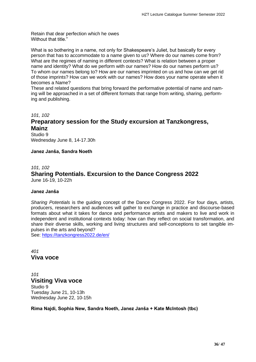Retain that dear perfection which he owes Without that title."

What is so bothering in a name, not only for Shakespeare's Juliet, but basically for every person that has to accommodate to a name given to us? Where do our names come from? What are the regimes of naming in different contexts? What is relation between a proper name and identity? What do we perform with our names? How do our names perform us? To whom our names belong to? How are our names imprinted on us and how can we get rid of those imprints? How can we work with our names? How does your name operate when it becomes a Name?

These and related questions that bring forward the performative potential of name and naming will be approached in a set of different formats that range from writing, sharing, performing and publishing.

*101, 102*

# **Preparatory session for the Study excursion at Tanzkongress, Mainz**

Studio 9 Wednesday June 8, 14-17.30h

**Janez Janša, Sandra Noeth** 

#### *101, 102* **Sharing Potentials. Excursion to the Dance Congress 2022** June 16-19, 10-22h

#### **Janez Janša**

*Sharing Potentials* is the guiding concept of the Dance Congress 2022. For four days, artists, producers, researchers and audiences will gather to exchange in practice and discourse-based formats about what it takes for dance and performance artists and makers to live and work in independent and institutional contexts today: how can they reflect on social transformation, and share their diverse skills, working and living structures and self-conceptions to set tangible impulses in the arts and beyond?

See:<https://tanzkongress2022.de/en/>

*401*  **Viva voce**

*101*  **Visiting Viva voce** Studio 9 Tuesday June 21, 10-13h Wednesday June 22, 10-15h

**Rima Najdi, Sophia New, Sandra Noeth, Janez Janša + Kate McIntosh (tbc)**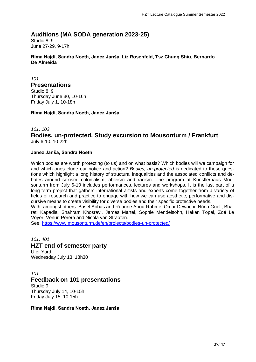# **Auditions (MA SODA generation 2023-25)**

Studio 8, 9 June 27-29, 9-17h

**Rima Najdi, Sandra Noeth, Janez Janša, Liz Rosenfeld, Tsz Chung Shiu, Bernardo De Almeida**

*101* 

#### **Presentations**

Studio 8, 9 Thursday June 30, 10-16h Friday July 1, 10-18h

**Rima Najdi, Sandra Noeth, Janez Janša**

#### *101, 102*

**Bodies, un-protected. Study excursion to Mousonturm / Frankfurt**  July 6-10, 10-22h

#### **Janez Janša, Sandra Noeth**

Which bodies are worth protecting (to us) and on what basis? Which bodies will we campaign for and which ones elude our notice and action? *Bodies, un-protected* is dedicated to these questions which highlight a long history of structural inequalities and the associated conflicts and debates around sexism, colonialism, ableism and racism. The program at Künstlerhaus Mousonturm from July 6-10 includes performances, lectures and workshops. It is the last part of a long-term project that gathers international artists and experts come together from a variety of fields of research and practice to engage with how we can use aesthetic, performative and discursive means to create visibility for diverse bodies and their specific protective needs.

With, amongst others: Basel Abbas and Ruanne Abou-Rahme, Omar Dewachi, Núria Güell, Bharati Kapadia, Shahram Khosravi, James Martel, Sophie Mendelsohn, Hakan Topal, Zoé Le Voyer, Venuri Perera and Nicola van Straaten.

See:<https://www.mousonturm.de/en/projects/bodies-un-protected/>

*101, 401*

### **HZT end of semester party**

Ufer Yard Wednesday July 13, 18h30

*101* 

### **Feedback on 101 presentations**

Studio 9 Thursday July 14, 10-15h Friday July 15, 10-15h

**Rima Najdi, Sandra Noeth, Janez Janša**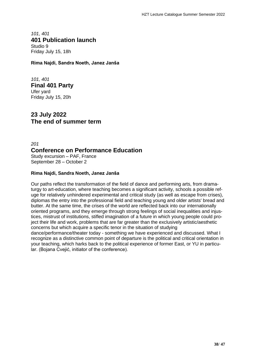*101, 401* **401 Publication launch** Studio 9 Friday July 15, 18h

**Rima Najdi, Sandra Noeth, Janez Janša**

*101, 401* **Final 401 Party** Ufer yard Friday July 15, 20h

**23 July 2022 The end of summer term**

*201* **Conference on Performance Education** Study excursion – PAF, France September 28 – October 2

## **Rima Najdi, Sandra Noeth, Janez Janša**

Our paths reflect the transformation of the field of dance and performing arts, from dramaturgy to art-education, where teaching becomes a significant activity, schools a possible refuge for relatively unhindered experimental and critical study (as well as escape from crises), diplomas the entry into the professional field and teaching young and older artists' bread and butter. At the same time, the crises of the world are reflected back into our internationally oriented programs, and they emerge through strong feelings of social inequalities and injustices, mistrust of institutions, stifled imagination of a future in which young people could project their life and work, problems that are far greater than the exclusively artistic/aesthetic concerns but which acquire a specific tenor in the situation of studying dance/performance/theater today - something we have experienced and discussed. What I recognize as a distinctive common point of departure is the political and critical orientation in your teaching, which harks back to the political experience of former East, or YU in particular. (Bojana Cvejić, initiator of the conference).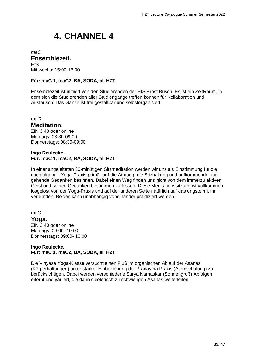# <span id="page-38-0"></span>**4. CHANNEL 4**

#### *maC* **Ensemblezeit. HfS** Mittwochs: 15:00-18:00

**Für: maC 1, maC2, BA, SODA, all HZT**

Ensemblezeit ist initiiert von den Studierenden der HfS Ernst Busch. Es ist ein ZeitRaum, in dem sich die Studierenden aller Studiengänge treffen können für Kollaboration und Austausch. Das Ganze ist frei gestaltbar und selbstorganisiert.

*maC*

## **Meditation.**

ZIN 3.40 oder online Montags: 08:30-09:00 Donnerstags: 08:30-09:00

#### **Ingo Reulecke. Für: maC 1, maC2, BA, SODA, all HZT**

In einer angeleiteten 30-minütigen Sitzmeditation werden wir uns als Einstimmung für die nachfolgende Yoga-Praxis primär auf die Atmung, die Sitzhaltung und aufkommende und gehende Gedanken besinnen. Dabei einen Weg finden uns nicht von dem immerzu aktiven Geist und seinen Gedanken bestimmen zu lassen. Diese Meditationssitzung ist vollkommen losgelöst von der Yoga-Praxis und auf der anderen Seite natürlich auf das engste mit ihr verbunden. Beides kann unabhängig voneinander praktiziert werden.

### *maC*

**Yoga.** ZIN 3.40 oder online Montags: 09:00- 10:00 Donnerstags: 09:00- 10:00

#### **Ingo Reulecke. Für: maC 1, maC2, BA, SODA, all HZT**

Die Vinyasa Yoga-Klasse versucht einen Fluß im organischen Ablauf der Asanas (Körperhaltungen) unter starker Einbeziehung der Pranayma Praxis (Atemschulung) zu berücksichtigen. Dabei werden verschiedene Surya Namaskar (Sonnengruß) Abfolgen erlernt und variiert, die dann spielerisch zu schwierigen Asanas weiterleiten.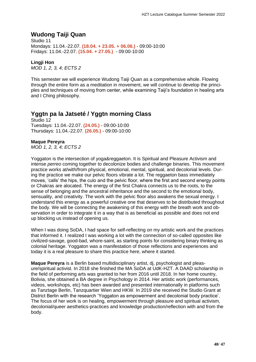# **Wudong Taiji Quan**

Studio 11 Mondays: 11.04.-22.07. **(18.04. + 23.05. + 06.06.)** - 09:00-10:00 Fridays: 11.04.-22.07. **(15.04. + 27.05.)** - 09:00-10:00

### **Lingji Hon**

*MOD 1, 2, 3, 4; ECTS 2*

This semester we will experience Wudong Taiji Quan as a comprehensive whole. Flowing through the entire form as a meditation in movement, we will continue to develop the principles and techniques of moving from center, while examining Taiji's foundation in healing arts and I Ching philosophy.

# **Yggtn pa la Jatseté / Yggtn morning Class**

Studio 12 Tuesdays: 11.04.-22.07. **(24.05.)** - 09:00-10:00 Thursdays: 11.04.-22.07. **(26.05.)** - 09:00-10:00

#### **Maque Pereyra**

*MOD 1, 2, 3, 4; ECTS 2*

Yoggaton is the intersection of yoga&reggaeton. It is Spiritual and Pleasure Activism and intense *perreo* coming together to decolonize bodies and challenge binaries. This movement practice works at/with/from physical, emotional, mental, spiritual, and decolonial levels. During the practice we make our pelvic floors vibrate a lot. The reggaeton bass immediately moves, 'calls' the hips, the culo and the pelvic floor, where the first and second energy points or Chakras are alocated. The energy of the first Chakra connects us to the roots, to the sense of belonging and the ancestral inheritance and the second to the emotional body, sensuality, and creativity. The work with the pelvic floor also awakens the sexual energy. I understand this energy as a powerful creative one that deserves to be distributed throughout the body. We will be connecting the awakening of this energy with the breath work and observation in order to integrate it in a way that is as beneficial as possible and does not end up blocking us instead of opening us.

When I was doing SoDA, I had space for self-reflecting on my artistic work and the practices that informed it. I realized I was working a lot with the connection of so-called opposites like civilized-savage, good-bad, whore-saint, as starting points for considering binary thinking as colonial heritage. Yoggaton was a manifestation of those reflections and experiences and today it is a real pleasure to share this practice here, where it started.

**Maque Pereyra** is a Berlin based multidisciplinary artist, dj, psychologist and pleasure/spiritual activist. In 2018 she finished the MA SoDA at UdK-HZT. A DAAD scholarship in the field of performing arts was granted to her from 2016 until 2018. In her home country, Bolivia, she obtained a BA degree in Psychology in 2014. Her artistic work (performances, videos, workshops, etc) has been awarded and presented internationally in platforms such as Tanztage Berlin, Tanzquartier Wien and HKW. In 2019 she received the Studio Grant at District Berlin with the research 'Yoggaton as empowerment and decolonial body practice'. The focus of her work is on healing, empowerment through pleasure and spiritual activism, decolonial/queer aesthetics-practices and knowledge production/reflection with and from the body.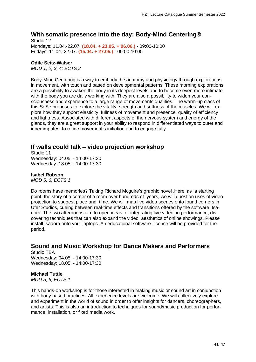## **With somatic presence into the day: Body-Mind Centering®**

Studio 12 Mondays: 11.04.-22.07. **(18.04. + 23.05. + 06.06.)** - 09:00-10:00 Fridays: 11.04.-22.07. **(15.04. + 27.05.)** - 09:00-10:00

#### **Odile Seitz-Walser**

*MOD 1, 2, 3, 4; ECTS 2*

Body-Mind Centering is a way to embody the anatomy and physiology through explorations in movement, with touch and based on developmental patterns. These morning explorations are a possibility to awaken the body in its deepest levels and to become even more intimate with the body you are daily working with. They are also a possibility to widen your consciousness and experience to a large range of movements qualities. The warm-up class of this SoSe proposes to explore the vitality, strength and softness of the muscles. We will explore how they support elasticity, fullness of movement and presence, quality of efficiency and lightness. Associated with different aspects of the nervous system and energy of the glands, they are a great support in your ability to respond in differentiated ways to outer and inner imputes, to refine movement's initiation and to engage fully.

## **If walls could talk – video projection workshop**

Studio 11 Wednesday: 04.05. - 14:00-17:30 Wednesday: 18.05. - 14:00-17:30

#### **Isabel Robson**

*MOD 5, 6; ECTS 1*

Do rooms have memories? Taking Richard Mcguire's graphic novel , Here' as a starting point, the story of a corner of a room over hundreds of years, we will question uses of video projection to suggest place and time. We will map live video scenes onto found corners in Ufer Studios, cueing between real-time effects and transitions offered by the software Isadora. The two afternoons aim to open ideas for integrating live video in performance, discovering techniques that can also expand the video aesthetics of online showings. Please install Isadora onto your laptops. An educational software licence will be provided for the period.

## **Sound and Music Workshop for Dance Makers and Performers**

Studio TBA Wednesday: 04.05. - 14:00-17:30 Wednesday: 18.05. - 14:00-17:30

#### **Michael Tuttle**

*MOD 5, 6; ECTS 1*

This hands-on workshop is for those interested in making music or sound art in conjunction with body based practices. All experience levels are welcome. We will collectively explore and experiment in the world of sound in order to offer insights for dancers, choreographers, and artists. This is also an introduction to techniques for sound/music production for performance, installation, or fixed media work.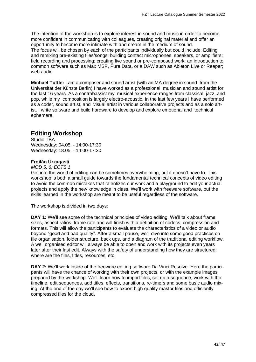The intention of the workshop is to explore interest in sound and music in order to become more confident in communicating with colleagues, creating original material and offer an opportunity to become more intimate with and dream in the medium of sound. The focus will be chosen by each of the participants individually but could include: Editing and remixing pre-existing files/songs; building contact microphones, speakers, or amplifiers; field recording and processing; creating live sound or pre-composed work; an introduction to common software such as Max MSP, Pure Data, or a DAW such as Ableton Live or Reaper; web audio.

**Michael Tuttle:** I am a composer and sound artist (with an MA degree in sound from the Universität der Künste Berlin).I have worked as a professional musician and sound artist for the last 16 years. As a contrabassist my musical experience ranges from classical, jazz, and pop, while my composition is largely electro-acoustic. In the last few years I have performed as a coder, sound artist, and visual artist in various collaborative projects and as a solo artist. I write software and build hardware to develop and explore emotional and technical ephemera.

## **Editing Workshop**

Studio TBA Wednesday: 04.05. - 14:00-17:30 Wednesday: 18.05. - 14:00-17:30

#### **Froilán Urzagasti**

*MOD 5, 6; ECTS 1*

Get into the world of editing can be sometimes overwhelming, but it doesn't have to. This workshop is both a small guide towards the fundamental technical concepts of video editing to avoid the common mistakes that ralentizes our work and a playground to edit your actual projects and apply the new knowledge in class. We'll work with freeware software, but the skills learned in the workshop are meant to be useful regardless of the software.

The workshop is divided in two days:

**DAY 1:** We'll see some of the technical principles of video editing. We'll talk about frame sizes, aspect ratios, frame rate and will finish with a definition of codecs, compression and formats. This will allow the participants to evaluate the characteristics of a video or audio beyond "good and bad quality". After a small pause, we'll dive into some good practices on file organisation, folder structure, back ups, and a diagram of the traditional editing workflow. A well organised editor will always be able to open and work with its projects even years later after their last edit. Always with the safety of understanding how they are structured: where are the files, titles, resources, etc.

**DAY 2:** We'll work inside of the freeware editing software Da Vinci Resolve. Here the participants will have the chance of working with their own projects, or with the example images prepared by the workshop. We'll learn how to import files, set up a sequence, work with the timeline, edit sequences, add titles, effects, transitions, re-timers and some basic audio mixing. At the end of the day we'll see how to export high quality master files and efficiently compressed files for the cloud.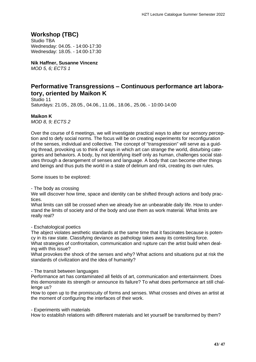# **Workshop (TBC)**

Studio TBA Wednesday: 04.05. - 14:00-17:30 Wednesday: 18.05. - 14:00-17:30

**Nik Haffner, Susanne Vincenz** *MOD 5, 6; ECTS 1*

# **Performative Transgressions – Continuous performance art laboratory, oriented by Maikon K**

Studio 11 Saturdays: 21.05., 28.05., 04.06., 11.06., 18.06., 25.06. - 10:00-14:00

**Maikon K**

*MOD 8, 9; ECTS 2*

Over the course of 6 meetings, we will investigate practical ways to alter our sensory perception and to defy social norms. The focus will be on creating experiments for reconfiguration of the senses, individual and collective. The concept of "transgression" will serve as a guiding thread, provoking us to think of ways in which art can strange the world, disturbing categories and behaviors. A body, by not identifying itself only as human, challenges social statutes through a derangement of senses and language. A body that can become other things and beings and thus puts the world in a state of delirium and risk, creating its own rules.

Some issues to be explored:

- The body as crossing

We will discover how time, space and identity can be shifted through actions and body practices.

What limits can still be crossed when we already live an unbearable daily life. How to understand the limits of society and of the body and use them as work material. What limits are really real?

- Eschatological poetics

The abject violates aesthetic standards at the same time that it fascinates because is potency in its raw state. Classifying deviance as pathology takes away its contesting force. What strategies of confrontation, communication and rupture can the artist build when dealing with this issue?

What provokes the shock of the senses and why? What actions and situations put at risk the standards of civilization and the idea of humanity?

- The transit between languages

Performance art has contaminated all fields of art, communication and entertainment. Does this demonstrate its strength or announce its failure? To what does performance art still challenge us?

How to open up to the promiscuity of forms and senses. What crosses and drives an artist at the moment of configuring the interfaces of their work.

- Experiments with materials

How to establish relations with different materials and let yourself be transformed by them?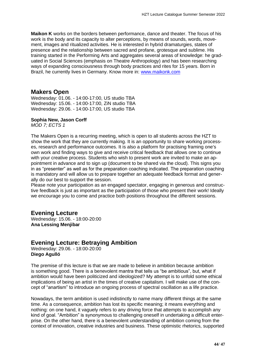**Maikon K** works on the borders between performance, dance and theater. The focus of his work is the body and its capacity to alter perceptions, by means of sounds, words, movement, images and ritualized activities. He is interested in hybrid dramaturgies, states of presence and the relationship between sacred and profane, grotesque and sublime. His training started in the Performing Arts and aggregates several areas of knowledge: he graduated in Social Sciences (emphasis on Theatre Anthropology) and has been researching ways of expanding consciousness through body practices and rites for 15 years. Born in Brazil, he currently lives in Germany. Know more in: [www.maikonk.com](https://maikonk.com/)

## **Makers Open**

Wednesday: 01.06. - 14:00-17:00, US studio TBA Wednesday: 15.06. - 14:00-17:00, ZiN studio TBA Wednesday: 29.06. - 14:00-17:00, US studio TBA

#### **Sophia New, Jason Corff**

*MOD 7; ECTS 1*

The Makers Open is a recurring meeting, which is open to all students across the HZT to show the work that they are currently making. It is an opportunity to share working processes, research and performance outcomes. It is also a platform for practising framing one's own work and finding ways to give and receive critical feedback that allows one to continue with your creative process. Students who wish to present work are invited to make an appointment in advance and to sign up (document to be shared via the cloud). This signs you in as "presenter" as well as for the preparation coaching indicated. The preparation coaching is mandatory and will allow us to prepare together an adequate feedback format and generally do our best to support the session.

Please note your participation as an engaged spectator, engaging in generous and constructive feedback is just as important as the participation of those who present their work! Ideally we encourage you to come and practice both positions throughout the different sessions.

### **Evening Lecture**

Wednesday: 15.06. - 18:00-20:00 **Ana Lessing Menjibar**

## **Evening Lecture: Betraying Ambition**

Wednesday: 29.06. - 18:00-20:00 **Diego Agulló**

The premise of this lecture is that we are made to believe in ambition because ambition is something good. There is a benevolent mantra that tells us "be ambitious", but, what if ambition would have been politicized and ideologized? My attempt is to unfold some ethical implications of being an artist in the times of creative capitalism. I will make use of the concept of "anartism" to introduce an ongoing process of spectral oscillation as a life practice.

Nowadays, the term ambition is used indistinctly to name many different things at the same time. As a consequence, ambition has lost its specific meaning; it means everything and nothing: on one hand, it vaguely refers to any driving force that attempts to accomplish any kind of goal. "Ambition" is synonymous to challenging oneself in undertaking a difficult enterprise. On the other hand, there is a benevolent understanding of ambition coming from the context of innovation, creative industries and business. These optimistic rhetorics, supported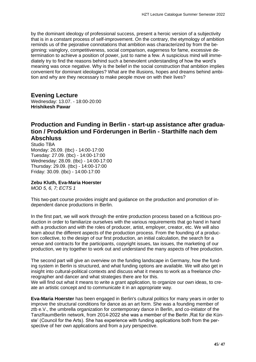by the dominant ideology of professional success, present a heroic version of a subjectivity that is in a constant process of self-improvement. On the contrary, the etymology of ambition reminds us of the pejorative connotations that ambition was characterized by from the beginning: vainglory, competitiveness, social comparison, eagerness for fame, excessive determination to achieve a position of power, just to name a few. A suspicious mind will immediately try to find the reasons behind such a benevolent understanding of how the word's meaning was once negative. Why is the belief in the social construction that ambition implies convenient for dominant ideologies? What are the illusions, hopes and dreams behind ambition and why are they necessary to make people move on with their lives?

## **Evening Lecture**

Wednesday: 13.07. - 18:00-20:00 **Hrishikesh Pawar**

# **Production and Funding in Berlin - start-up assistance after graduation / Produktion und Förderungen in Berlin - Starthilfe nach dem Abschluss**

Studio TBA Monday: 26.09. (tbc) - 14:00-17:00 Tuesday: 27.09. (tbc) - 14:00-17:00 Wednesday: 28.09. (tbc) - 14:00-17:00 Thursday: 29.09. (tbc) - 14:00-17:00 Friday: 30.09. (tbc) - 14:00-17:00

#### **Zebu Kluth, Eva-Maria Hoerster**

*MOD 5, 6, 7; ECTS 1*

This two-part course provides insight and guidance on the production and promotion of independent dance productions in Berlin.

In the first part, we will work through the entire production process based on a fictitious production in order to familiarize ourselves with the various requirements that go hand in hand with a production and with the roles of producer, artist, employer, creator, etc. We will also learn about the different aspects of the production process. From the founding of a production collective, to the design of our first production, an initial calculation, the search for a venue and contracts for the participants, copyright issues, tax issues, the marketing of our production, we try together to work out and understand the many aspects of free production.

The second part will give an overview on the funding landscape in Germany, how the funding system in Berlin is structured, and what funding options are available. We will also get in insight into cultural-political contexts and discuss what it means to work as a freelance choreographer and dancer and what strategies there are for this.

We will find out what it means to write a grant application, to organize our own ideas, to create an artistic concept and to communicate it in an appropriate way.

**Eva-Maria Hoerster** has been engaged in Berlin's cultural politics for many years in order to improve the structural conditions for dance as an art form. She was a founding member of ztb e.V., the umbrella organization for contemporary dance in Berlin, and co-initiator of the TanzRaumBerlin network, from 2014-2022 she was a member of the Berlin , Rat für die Künste' (Council for the Arts). She has experience with funding applications both from the perspective of her own applications and from a jury perspective.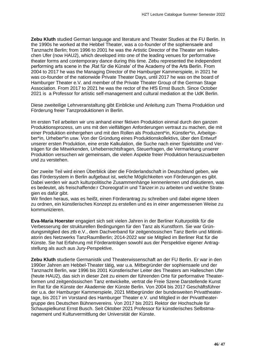**Zebu Kluth** studied German language and literature and Theater Studies at the FU Berlin. In the 1990s he worked at the Hebbel Theater, was a co-founder of the sophiensaele and Tanznacht Berlin; from 1996 to 2001 he was the Artistic Director of the Theater am Halleschen Ufer (now HAU2), which developed into one of the leading venues for performative theater forms and contemporary dance during this time. Zebu represented the independent performing arts scene in the 'Rat für die Künste' of the Academy of the Arts Berlin. From 2004 to 2017 he was the Managing Director of the Hamburger Kammerspiele, in 2021 he was co-founder of the nationwide Private Theater Days, until 2017 he was on the board of Hamburger Theater e.V. and member of the Private Theater Group of the German Stage Association. From 2017 to 2021 he was the rector of the HfS Ernst Busch. Since October 2021 is a Professor for artistic self-management and cultural mediation at the UdK Berlin.

Diese zweiteilige Lehrveranstaltung gibt Einblicke und Anleitung zum Thema Produktion und Förderung freier Tanzproduktionen in Berlin.

Im ersten Teil arbeiten wir uns anhand einer fiktiven Produktion einmal durch den ganzen Produktionsprozess, um uns mit den vielfältigen Anforderungen vertraut zu machen, die mit einer Produktion einhergehen und mit den Rollen als Produzent\*in, Künstler\*in, Arbeitgeber\*in, Urheber\*in usw. Von der Gründung eines Produktionskollektivs, über den Entwurf unserer ersten Produktion, eine erste Kalkulation, die Suche nach einer Spielstätte und Verträgen für die Mitwirkenden, Urheberrechtsfragen, Steuerfragen, die Vermarktung unserer Produktion versuchen wir gemeinsam, die vielen Aspekte freier Produktion herauszuarbeiten und zu verstehen.

Der zweite Teil wird einen Überblick über die Förderlandschaft in Deutschland geben, wie das Fördersystem in Berlin aufgebaut ist, welche Möglichkeiten von Förderungen es gibt. Dabei werden wir auch kulturpolitische Zusammenhänge kennenlernen und diskutieren, was es bedeutet, als freischaffende:r Choreograf:in und Tänzer:in zu arbeiten und welche Strategien es dafür gibt.

Wir finden heraus, was es heißt, einen Förderantrag zu schreiben und dabei eigene Ideen zu ordnen, ein künstlerisches Konzept zu erstellen und es in einer angemessenen Weise zu kommunizieren.

**Eva-Maria Hoerster** engagiert sich seit vielen Jahren in der Berliner Kulturpolitik für die Verbesserung der strukturellen Bedingungen für den Tanz als Kunstform. Sie war Gründungsmitglied des ztb e.V., dem Dachverband für zeitgenössischen Tanz Berlin und Mitinitiatorin des Netzwerks TanzRaumBerlin; 2014-2022 war sie Mitglied im Berliner Rat für die Künste. Sie hat Erfahrung mit Förderanträgen sowohl aus der Perspektive eigener Antragstellung als auch aus Jury-Perspektive.

**Zebu Kluth** studierte Germanistik und Theaterwissenschaft an der FU Berlin. Er war in den 1990er Jahren am Hebbel-Theater tätig, war u.a. Mitbegründer der sophiensaele und der Tanznacht Berlin, war 1996 bis 2001 Künstlerischer Leiter des Theaters am Halleschen Ufer (heute HAU2), das sich in dieser Zeit zu einem der führenden Orte für performative Theaterformen und zeitgenössischen Tanz entwickelte, vertrat die Freie Szene Darstellende Kunst im Rat für die Künste der Akademie der Künste Berlin. Von 2004 bis 2017 Geschäftsführer der u.a. der Hamburger Kammerspiele, 2021 Mitbegründer der bundesweiten Privattheatertage, bis 2017 im Vorstand des Hamburger Theater e.V. und Mitglied in der Privattheatergruppe des Deutschen Bühnenvereins. Von 2017 bis 2021 Rektor der Hochschule für Schauspielkunst Ernst Busch. Seit Oktober 2021 Professor für künstlerisches Selbstmanagement und Kulturvermittlung der Universität der Künste.